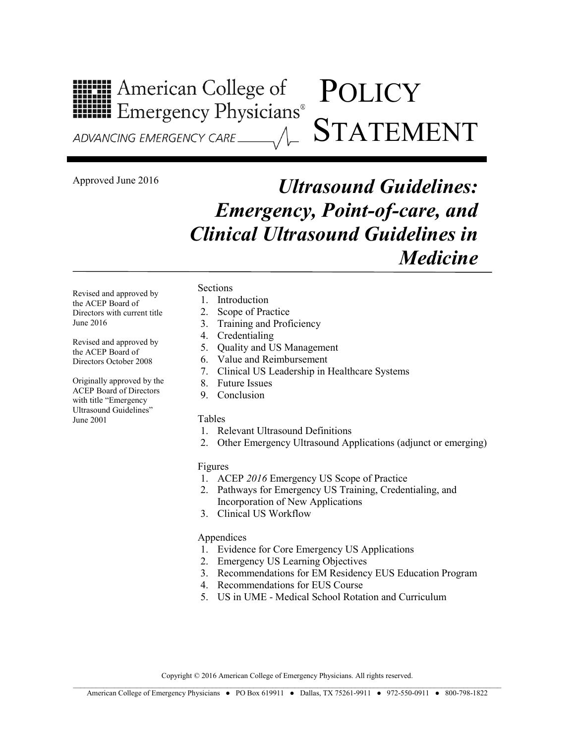## **EXAMPLE American College of POLICY**<br> **EXAMPLE AMPLE AND RESP.** STATEMENT ADVANCING EMERGENCY CARE  $\_\_\_\_\_\_\_\_\_\$

## Approved June 2016 *Ultrasound Guidelines: Emergency, Point-of-care, and Clinical Ultrasound Guidelines in Medicine*

Revised and approved by the ACEP Board of Directors with current title June 2016

Revised and approved by the ACEP Board of Directors October 2008

Originally approved by the ACEP Board of Directors with title "Emergency Ultrasound Guidelines" June 2001

#### **Sections**

- 1. Introduction
- 2. Scope of Practice
- 3. Training and Proficiency
- 4. Credentialing
- 5. Quality and US Management
- 6. Value and Reimbursement
- 7. Clinical US Leadership in Healthcare Systems
- 8. Future Issues
- 9. Conclusion

#### Tables

- 1. Relevant Ultrasound Definitions
- 2. Other Emergency Ultrasound Applications (adjunct or emerging)

#### Figures

- 1. ACEP *2016* Emergency US Scope of Practice
- 2. Pathways for Emergency US Training, Credentialing, and Incorporation of New Applications
- 3. Clinical US Workflow

#### Appendices

- 1. Evidence for Core Emergency US Applications
- 2. Emergency US Learning Objectives
- 3. Recommendations for EM Residency EUS Education Program
- 4. Recommendations for EUS Course
- 5. US in UME Medical School Rotation and Curriculum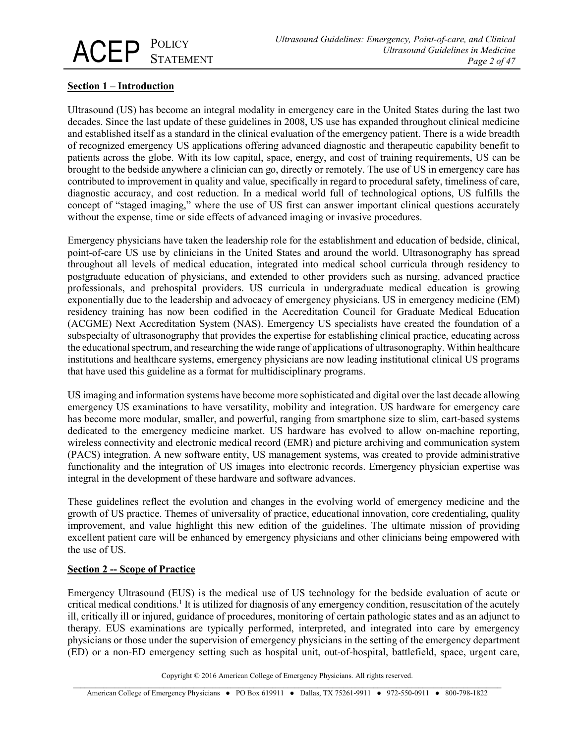#### **Section 1 – Introduction**

Ultrasound (US) has become an integral modality in emergency care in the United States during the last two decades. Since the last update of these guidelines in 2008, US use has expanded throughout clinical medicine and established itself as a standard in the clinical evaluation of the emergency patient. There is a wide breadth of recognized emergency US applications offering advanced diagnostic and therapeutic capability benefit to patients across the globe. With its low capital, space, energy, and cost of training requirements, US can be brought to the bedside anywhere a clinician can go, directly or remotely. The use of US in emergency care has contributed to improvement in quality and value, specifically in regard to procedural safety, timeliness of care, diagnostic accuracy, and cost reduction. In a medical world full of technological options, US fulfills the concept of "staged imaging," where the use of US first can answer important clinical questions accurately without the expense, time or side effects of advanced imaging or invasive procedures.

Emergency physicians have taken the leadership role for the establishment and education of bedside, clinical, point-of-care US use by clinicians in the United States and around the world. Ultrasonography has spread throughout all levels of medical education, integrated into medical school curricula through residency to postgraduate education of physicians, and extended to other providers such as nursing, advanced practice professionals, and prehospital providers. US curricula in undergraduate medical education is growing exponentially due to the leadership and advocacy of emergency physicians. US in emergency medicine (EM) residency training has now been codified in the Accreditation Council for Graduate Medical Education (ACGME) Next Accreditation System (NAS). Emergency US specialists have created the foundation of a subspecialty of ultrasonography that provides the expertise for establishing clinical practice, educating across the educational spectrum, and researching the wide range of applications of ultrasonography. Within healthcare institutions and healthcare systems, emergency physicians are now leading institutional clinical US programs that have used this guideline as a format for multidisciplinary programs.

US imaging and information systems have become more sophisticated and digital over the last decade allowing emergency US examinations to have versatility, mobility and integration. US hardware for emergency care has become more modular, smaller, and powerful, ranging from smartphone size to slim, cart-based systems dedicated to the emergency medicine market. US hardware has evolved to allow on-machine reporting, wireless connectivity and electronic medical record (EMR) and picture archiving and communication system (PACS) integration. A new software entity, US management systems, was created to provide administrative functionality and the integration of US images into electronic records. Emergency physician expertise was integral in the development of these hardware and software advances.

These guidelines reflect the evolution and changes in the evolving world of emergency medicine and the growth of US practice. Themes of universality of practice, educational innovation, core credentialing, quality improvement, and value highlight this new edition of the guidelines. The ultimate mission of providing excellent patient care will be enhanced by emergency physicians and other clinicians being empowered with the use of US.

#### **Section 2 -- Scope of Practice**

Emergency Ultrasound (EUS) is the medical use of US technology for the bedside evaluation of acute or critical medical conditions.<sup>1</sup> It is utilized for diagnosis of any emergency condition, resuscitation of the acutely ill, critically ill or injured, guidance of procedures, monitoring of certain pathologic states and as an adjunct to therapy. EUS examinations are typically performed, interpreted, and integrated into care by emergency physicians or those under the supervision of emergency physicians in the setting of the emergency department (ED) or a non-ED emergency setting such as hospital unit, out-of-hospital, battlefield, space, urgent care,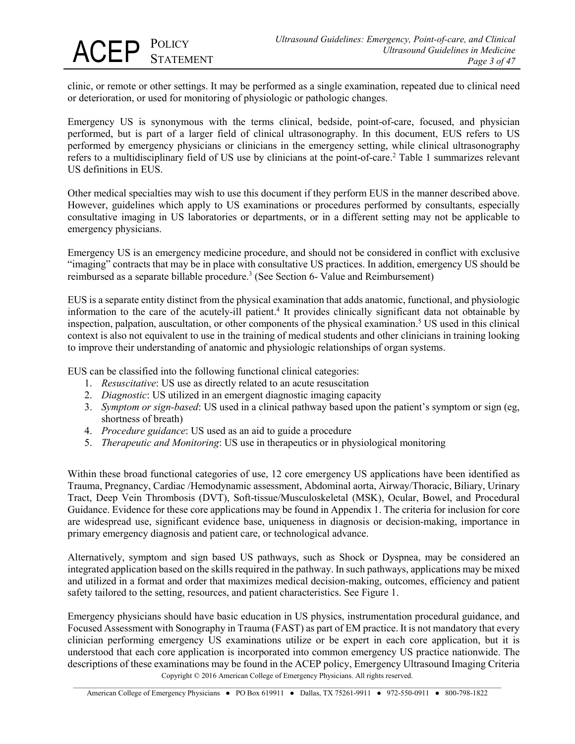clinic, or remote or other settings. It may be performed as a single examination, repeated due to clinical need or deterioration, or used for monitoring of physiologic or pathologic changes.

Emergency US is synonymous with the terms clinical, bedside, point-of-care, focused, and physician performed, but is part of a larger field of clinical ultrasonography. In this document, EUS refers to US performed by emergency physicians or clinicians in the emergency setting, while clinical ultrasonography refers to a multidisciplinary field of US use by clinicians at the point-of-care.2 Table 1 summarizes relevant US definitions in EUS.

Other medical specialties may wish to use this document if they perform EUS in the manner described above. However, guidelines which apply to US examinations or procedures performed by consultants, especially consultative imaging in US laboratories or departments, or in a different setting may not be applicable to emergency physicians.

Emergency US is an emergency medicine procedure, and should not be considered in conflict with exclusive "imaging" contracts that may be in place with consultative US practices. In addition, emergency US should be reimbursed as a separate billable procedure.3 (See Section 6- Value and Reimbursement)

EUS is a separate entity distinct from the physical examination that adds anatomic, functional, and physiologic information to the care of the acutely-ill patient.<sup>4</sup> It provides clinically significant data not obtainable by inspection, palpation, auscultation, or other components of the physical examination.<sup>5</sup> US used in this clinical context is also not equivalent to use in the training of medical students and other clinicians in training looking to improve their understanding of anatomic and physiologic relationships of organ systems.

EUS can be classified into the following functional clinical categories:

- 1. *Resuscitative*: US use as directly related to an acute resuscitation
- 2. *Diagnostic*: US utilized in an emergent diagnostic imaging capacity
- 3. *Symptom or sign-based*: US used in a clinical pathway based upon the patient's symptom or sign (eg, shortness of breath)
- 4. *Procedure guidance*: US used as an aid to guide a procedure
- 5. *Therapeutic and Monitoring*: US use in therapeutics or in physiological monitoring

Within these broad functional categories of use, 12 core emergency US applications have been identified as Trauma, Pregnancy, Cardiac /Hemodynamic assessment, Abdominal aorta, Airway/Thoracic, Biliary, Urinary Tract, Deep Vein Thrombosis (DVT), Soft-tissue/Musculoskeletal (MSK), Ocular, Bowel, and Procedural Guidance. Evidence for these core applications may be found in Appendix 1. The criteria for inclusion for core are widespread use, significant evidence base, uniqueness in diagnosis or decision-making, importance in primary emergency diagnosis and patient care, or technological advance.

Alternatively, symptom and sign based US pathways, such as Shock or Dyspnea, may be considered an integrated application based on the skills required in the pathway. In such pathways, applications may be mixed and utilized in a format and order that maximizes medical decision-making, outcomes, efficiency and patient safety tailored to the setting, resources, and patient characteristics. See Figure 1.

Copyright © 2016 American College of Emergency Physicians. All rights reserved. Emergency physicians should have basic education in US physics, instrumentation procedural guidance, and Focused Assessment with Sonography in Trauma (FAST) as part of EM practice. It is not mandatory that every clinician performing emergency US examinations utilize or be expert in each core application, but it is understood that each core application is incorporated into common emergency US practice nationwide. The descriptions of these examinations may be found in the ACEP policy, Emergency Ultrasound Imaging Criteria

American College of Emergency Physicians ● PO Box 619911 ● Dallas, TX 75261-9911 ● 972-550-0911 ● 800-798-1822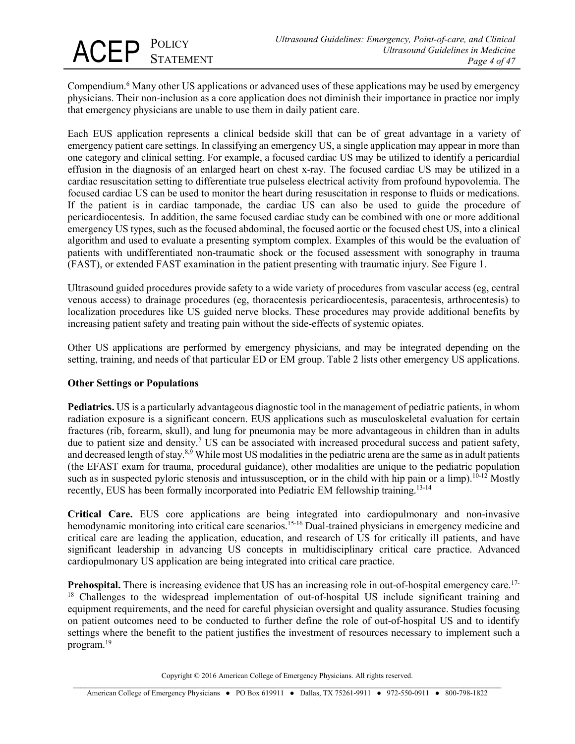Compendium.6 Many other US applications or advanced uses of these applications may be used by emergency physicians. Their non-inclusion as a core application does not diminish their importance in practice nor imply that emergency physicians are unable to use them in daily patient care.

Each EUS application represents a clinical bedside skill that can be of great advantage in a variety of emergency patient care settings. In classifying an emergency US, a single application may appear in more than one category and clinical setting. For example, a focused cardiac US may be utilized to identify a pericardial effusion in the diagnosis of an enlarged heart on chest x-ray. The focused cardiac US may be utilized in a cardiac resuscitation setting to differentiate true pulseless electrical activity from profound hypovolemia. The focused cardiac US can be used to monitor the heart during resuscitation in response to fluids or medications. If the patient is in cardiac tamponade, the cardiac US can also be used to guide the procedure of pericardiocentesis. In addition, the same focused cardiac study can be combined with one or more additional emergency US types, such as the focused abdominal, the focused aortic or the focused chest US, into a clinical algorithm and used to evaluate a presenting symptom complex. Examples of this would be the evaluation of patients with undifferentiated non-traumatic shock or the focused assessment with sonography in trauma (FAST), or extended FAST examination in the patient presenting with traumatic injury. See Figure 1.

Ultrasound guided procedures provide safety to a wide variety of procedures from vascular access (eg, central venous access) to drainage procedures (eg, thoracentesis pericardiocentesis, paracentesis, arthrocentesis) to localization procedures like US guided nerve blocks. These procedures may provide additional benefits by increasing patient safety and treating pain without the side-effects of systemic opiates.

Other US applications are performed by emergency physicians, and may be integrated depending on the setting, training, and needs of that particular ED or EM group. Table 2 lists other emergency US applications.

#### **Other Settings or Populations**

**Pediatrics.** US is a particularly advantageous diagnostic tool in the management of pediatric patients, in whom radiation exposure is a significant concern. EUS applications such as musculoskeletal evaluation for certain fractures (rib, forearm, skull), and lung for pneumonia may be more advantageous in children than in adults due to patient size and density.<sup>7</sup> US can be associated with increased procedural success and patient safety, and decreased length of stay.<sup>8,9</sup> While most US modalities in the pediatric arena are the same as in adult patients (the EFAST exam for trauma, procedural guidance), other modalities are unique to the pediatric population such as in suspected pyloric stenosis and intussusception, or in the child with hip pain or a limp).<sup>10-12</sup> Mostly recently, EUS has been formally incorporated into Pediatric EM fellowship training.<sup>13-14</sup>

**Critical Care.** EUS core applications are being integrated into cardiopulmonary and non-invasive hemodynamic monitoring into critical care scenarios.<sup>15-16</sup> Dual-trained physicians in emergency medicine and critical care are leading the application, education, and research of US for critically ill patients, and have significant leadership in advancing US concepts in multidisciplinary critical care practice. Advanced cardiopulmonary US application are being integrated into critical care practice.

**Prehospital.** There is increasing evidence that US has an increasing role in out-of-hospital emergency care.<sup>17-</sup> <sup>18</sup> Challenges to the widespread implementation of out-of-hospital US include significant training and equipment requirements, and the need for careful physician oversight and quality assurance. Studies focusing on patient outcomes need to be conducted to further define the role of out-of-hospital US and to identify settings where the benefit to the patient justifies the investment of resources necessary to implement such a program. 19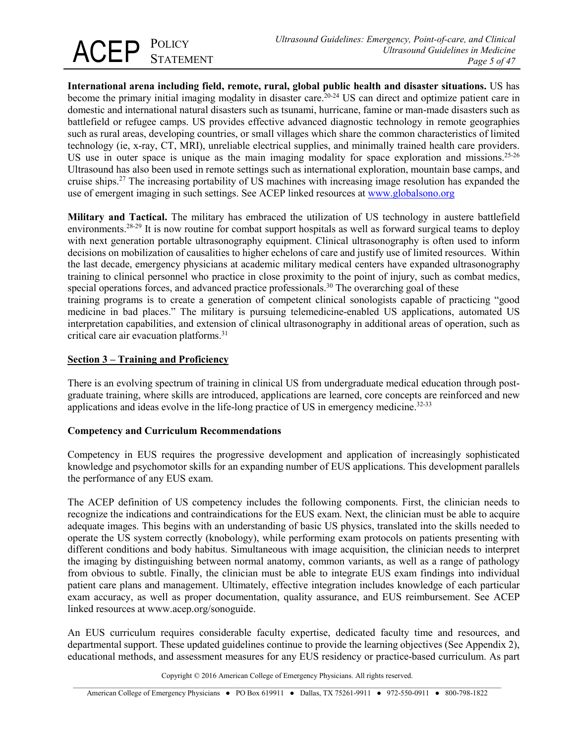**International arena including field, remote, rural, global public health and disaster situations.** US has become the primary initial imaging modality in disaster care.<sup>20-24</sup> US can direct and optimize patient care in domestic and international natural disasters such as tsunami, hurricane, famine or man-made disasters such as battlefield or refugee camps. US provides effective advanced diagnostic technology in remote geographies such as rural areas, developing countries, or small villages which share the common characteristics of limited technology (ie, x-ray, CT, MRI), unreliable electrical supplies, and minimally trained health care providers. US use in outer space is unique as the main imaging modality for space exploration and missions.<sup>25-26</sup> Ultrasound has also been used in remote settings such as international exploration, mountain base camps, and cruise ships.<sup>27</sup> The increasing portability of US machines with increasing image resolution has expanded the use of emergent imaging in such settings. See ACEP linked resources at [www.globalsono.org](http://www.globalsono.org/)

**Military and Tactical.** The military has embraced the utilization of US technology in austere battlefield environments.<sup>28</sup>-<sup>29</sup> It is now routine for combat support hospitals as well as forward surgical teams to deploy with next generation portable ultrasonography equipment. Clinical ultrasonography is often used to inform decisions on mobilization of causalities to higher echelons of care and justify use of limited resources. Within the last decade, emergency physicians at academic military medical centers have expanded ultrasonography training to clinical personnel who practice in close proximity to the point of injury, such as combat medics, special operations forces, and advanced practice professionals.<sup>30</sup> The overarching goal of these training programs is to create a generation of competent clinical sonologists capable of practicing "good medicine in bad places." The military is pursuing telemedicine-enabled US applications, automated US interpretation capabilities, and extension of clinical ultrasonography in additional areas of operation, such as critical care air evacuation platforms.31

#### **Section 3 – Training and Proficiency**

There is an evolving spectrum of training in clinical US from undergraduate medical education through postgraduate training, where skills are introduced, applications are learned, core concepts are reinforced and new applications and ideas evolve in the life-long practice of US in emergency medicine.<sup>32-33</sup>

#### **Competency and Curriculum Recommendations**

Competency in EUS requires the progressive development and application of increasingly sophisticated knowledge and psychomotor skills for an expanding number of EUS applications. This development parallels the performance of any EUS exam.

The ACEP definition of US competency includes the following components. First, the clinician needs to recognize the indications and contraindications for the EUS exam. Next, the clinician must be able to acquire adequate images. This begins with an understanding of basic US physics, translated into the skills needed to operate the US system correctly (knobology), while performing exam protocols on patients presenting with different conditions and body habitus. Simultaneous with image acquisition, the clinician needs to interpret the imaging by distinguishing between normal anatomy, common variants, as well as a range of pathology from obvious to subtle. Finally, the clinician must be able to integrate EUS exam findings into individual patient care plans and management. Ultimately, effective integration includes knowledge of each particular exam accuracy, as well as proper documentation, quality assurance, and EUS reimbursement. See ACEP linked resources at www.acep.org/sonoguide.

An EUS curriculum requires considerable faculty expertise, dedicated faculty time and resources, and departmental support. These updated guidelines continue to provide the learning objectives (See Appendix 2), educational methods, and assessment measures for any EUS residency or practice-based curriculum. As part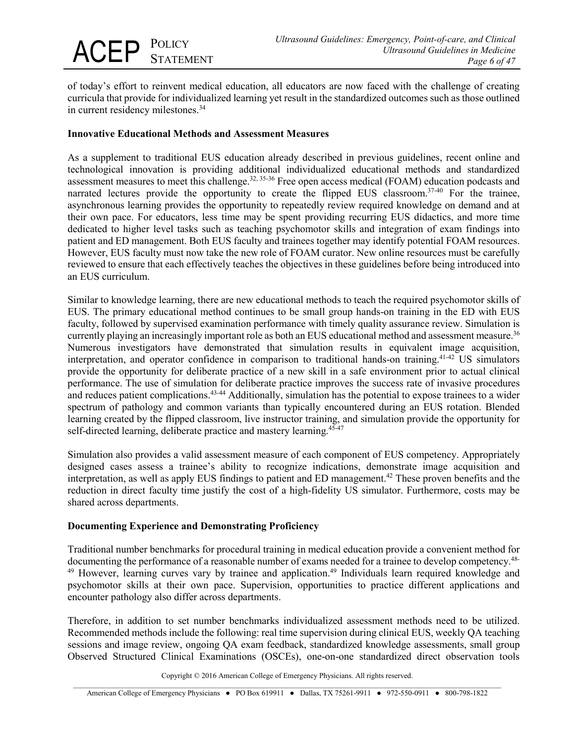of today's effort to reinvent medical education, all educators are now faced with the challenge of creating curricula that provide for individualized learning yet result in the standardized outcomes such as those outlined in current residency milestones.<sup>34</sup>

#### **Innovative Educational Methods and Assessment Measures**

As a supplement to traditional EUS education already described in previous guidelines, recent online and technological innovation is providing additional individualized educational methods and standardized assessment measures to meet this challenge.<sup>32, 35-36</sup> Free open access medical (FOAM) education podcasts and narrated lectures provide the opportunity to create the flipped EUS classroom.<sup>37-40</sup> For the trainee, asynchronous learning provides the opportunity to repeatedly review required knowledge on demand and at their own pace. For educators, less time may be spent providing recurring EUS didactics, and more time dedicated to higher level tasks such as teaching psychomotor skills and integration of exam findings into patient and ED management. Both EUS faculty and trainees together may identify potential FOAM resources. However, EUS faculty must now take the new role of FOAM curator. New online resources must be carefully reviewed to ensure that each effectively teaches the objectives in these guidelines before being introduced into an EUS curriculum.

Similar to knowledge learning, there are new educational methods to teach the required psychomotor skills of EUS. The primary educational method continues to be small group hands-on training in the ED with EUS faculty, followed by supervised examination performance with timely quality assurance review. Simulation is currently playing an increasingly important role as both an EUS educational method and assessment measure.<sup>36</sup> Numerous investigators have demonstrated that simulation results in equivalent image acquisition, interpretation, and operator confidence in comparison to traditional hands-on training.41-42 US simulators provide the opportunity for deliberate practice of a new skill in a safe environment prior to actual clinical performance. The use of simulation for deliberate practice improves the success rate of invasive procedures and reduces patient complications.<sup>43-44</sup> Additionally, simulation has the potential to expose trainees to a wider spectrum of pathology and common variants than typically encountered during an EUS rotation. Blended learning created by the flipped classroom, live instructor training, and simulation provide the opportunity for self-directed learning, deliberate practice and mastery learning.<sup>45-47</sup>

Simulation also provides a valid assessment measure of each component of EUS competency. Appropriately designed cases assess a trainee's ability to recognize indications, demonstrate image acquisition and interpretation, as well as apply EUS findings to patient and ED management.<sup>42</sup> These proven benefits and the reduction in direct faculty time justify the cost of a high-fidelity US simulator. Furthermore, costs may be shared across departments.

#### **Documenting Experience and Demonstrating Proficiency**

Traditional number benchmarks for procedural training in medical education provide a convenient method for documenting the performance of a reasonable number of exams needed for a trainee to develop competency.<sup>48-</sup> <sup>49</sup> However, learning curves vary by trainee and application.<sup>49</sup> Individuals learn required knowledge and psychomotor skills at their own pace. Supervision, opportunities to practice different applications and encounter pathology also differ across departments.

Therefore, in addition to set number benchmarks individualized assessment methods need to be utilized. Recommended methods include the following: real time supervision during clinical EUS, weekly QA teaching sessions and image review, ongoing QA exam feedback, standardized knowledge assessments, small group Observed Structured Clinical Examinations (OSCEs), one-on-one standardized direct observation tools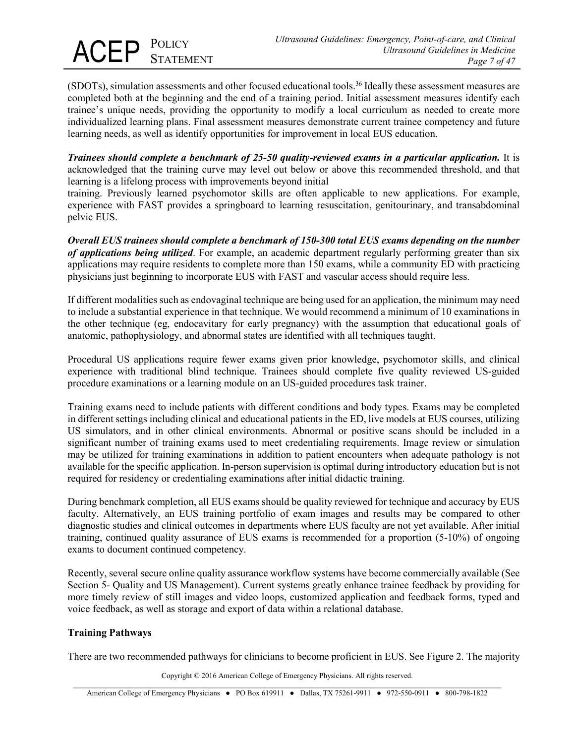(SDOTs), simulation assessments and other focused educational tools.36 Ideally these assessment measures are completed both at the beginning and the end of a training period. Initial assessment measures identify each trainee's unique needs, providing the opportunity to modify a local curriculum as needed to create more individualized learning plans. Final assessment measures demonstrate current trainee competency and future learning needs, as well as identify opportunities for improvement in local EUS education.

*Trainees should complete a benchmark of 25-50 quality-reviewed exams in a particular application.* It is acknowledged that the training curve may level out below or above this recommended threshold, and that learning is a lifelong process with improvements beyond initial

training. Previously learned psychomotor skills are often applicable to new applications. For example, experience with FAST provides a springboard to learning resuscitation, genitourinary, and transabdominal pelvic EUS.

*Overall EUS trainees should complete a benchmark of 150-300 total EUS exams depending on the number of applications being utilized*. For example, an academic department regularly performing greater than six applications may require residents to complete more than 150 exams, while a community ED with practicing physicians just beginning to incorporate EUS with FAST and vascular access should require less.

If different modalities such as endovaginal technique are being used for an application, the minimum may need to include a substantial experience in that technique. We would recommend a minimum of 10 examinations in the other technique (eg, endocavitary for early pregnancy) with the assumption that educational goals of anatomic, pathophysiology, and abnormal states are identified with all techniques taught.

Procedural US applications require fewer exams given prior knowledge, psychomotor skills, and clinical experience with traditional blind technique. Trainees should complete five quality reviewed US-guided procedure examinations or a learning module on an US-guided procedures task trainer.

Training exams need to include patients with different conditions and body types. Exams may be completed in different settings including clinical and educational patients in the ED, live models at EUS courses, utilizing US simulators, and in other clinical environments. Abnormal or positive scans should be included in a significant number of training exams used to meet credentialing requirements. Image review or simulation may be utilized for training examinations in addition to patient encounters when adequate pathology is not available for the specific application. In-person supervision is optimal during introductory education but is not required for residency or credentialing examinations after initial didactic training.

During benchmark completion, all EUS exams should be quality reviewed for technique and accuracy by EUS faculty. Alternatively, an EUS training portfolio of exam images and results may be compared to other diagnostic studies and clinical outcomes in departments where EUS faculty are not yet available. After initial training, continued quality assurance of EUS exams is recommended for a proportion (5-10%) of ongoing exams to document continued competency.

Recently, several secure online quality assurance workflow systems have become commercially available (See Section 5- Quality and US Management). Current systems greatly enhance trainee feedback by providing for more timely review of still images and video loops, customized application and feedback forms, typed and voice feedback, as well as storage and export of data within a relational database.

#### **Training Pathways**

There are two recommended pathways for clinicians to become proficient in EUS. See Figure 2. The majority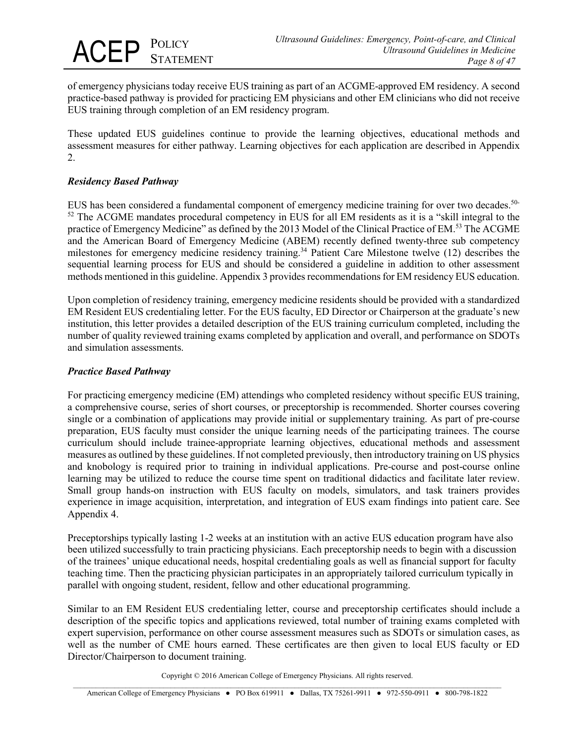of emergency physicians today receive EUS training as part of an ACGME-approved EM residency. A second practice-based pathway is provided for practicing EM physicians and other EM clinicians who did not receive EUS training through completion of an EM residency program.

These updated EUS guidelines continue to provide the learning objectives, educational methods and assessment measures for either pathway. Learning objectives for each application are described in Appendix 2.

#### *Residency Based Pathway*

EUS has been considered a fundamental component of emergency medicine training for over two decades.<sup>50-</sup> <sup>52</sup> The ACGME mandates procedural competency in EUS for all EM residents as it is a "skill integral to the practice of Emergency Medicine" as defined by the 2013 Model of the Clinical Practice of EM.<sup>53</sup> The ACGME and the American Board of Emergency Medicine (ABEM) recently defined twenty-three sub competency milestones for emergency medicine residency training.<sup>34</sup> Patient Care Milestone twelve (12) describes the sequential learning process for EUS and should be considered a guideline in addition to other assessment methods mentioned in this guideline. Appendix 3 provides recommendations for EM residency EUS education.

Upon completion of residency training, emergency medicine residents should be provided with a standardized EM Resident EUS credentialing letter. For the EUS faculty, ED Director or Chairperson at the graduate's new institution, this letter provides a detailed description of the EUS training curriculum completed, including the number of quality reviewed training exams completed by application and overall, and performance on SDOTs and simulation assessments.

#### *Practice Based Pathway*

For practicing emergency medicine (EM) attendings who completed residency without specific EUS training, a comprehensive course, series of short courses, or preceptorship is recommended. Shorter courses covering single or a combination of applications may provide initial or supplementary training. As part of pre-course preparation, EUS faculty must consider the unique learning needs of the participating trainees. The course curriculum should include trainee-appropriate learning objectives, educational methods and assessment measures as outlined by these guidelines. If not completed previously, then introductory training on US physics and knobology is required prior to training in individual applications. Pre-course and post-course online learning may be utilized to reduce the course time spent on traditional didactics and facilitate later review. Small group hands-on instruction with EUS faculty on models, simulators, and task trainers provides experience in image acquisition, interpretation, and integration of EUS exam findings into patient care. See Appendix 4.

Preceptorships typically lasting 1-2 weeks at an institution with an active EUS education program have also been utilized successfully to train practicing physicians. Each preceptorship needs to begin with a discussion of the trainees' unique educational needs, hospital credentialing goals as well as financial support for faculty teaching time. Then the practicing physician participates in an appropriately tailored curriculum typically in parallel with ongoing student, resident, fellow and other educational programming.

Similar to an EM Resident EUS credentialing letter, course and preceptorship certificates should include a description of the specific topics and applications reviewed, total number of training exams completed with expert supervision, performance on other course assessment measures such as SDOTs or simulation cases, as well as the number of CME hours earned. These certificates are then given to local EUS faculty or ED Director/Chairperson to document training.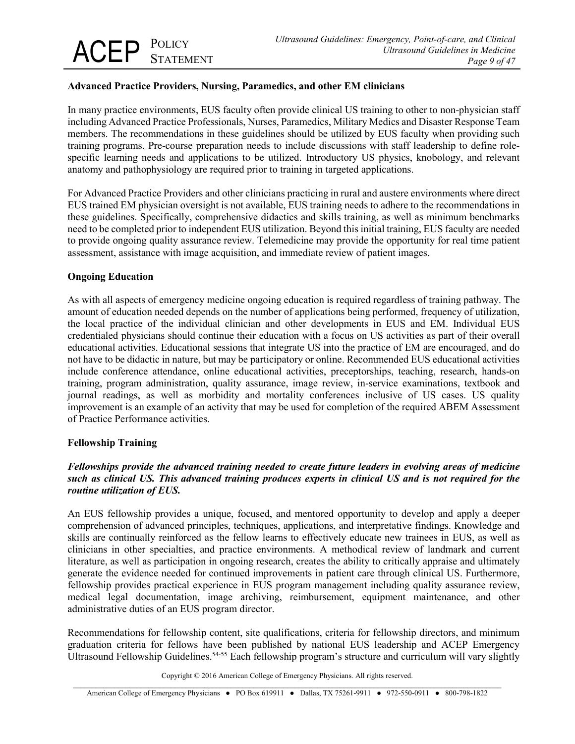#### **Advanced Practice Providers, Nursing, Paramedics, and other EM clinicians**

In many practice environments, EUS faculty often provide clinical US training to other to non-physician staff including Advanced Practice Professionals, Nurses, Paramedics, Military Medics and Disaster Response Team members. The recommendations in these guidelines should be utilized by EUS faculty when providing such training programs. Pre-course preparation needs to include discussions with staff leadership to define rolespecific learning needs and applications to be utilized. Introductory US physics, knobology, and relevant anatomy and pathophysiology are required prior to training in targeted applications.

For Advanced Practice Providers and other clinicians practicing in rural and austere environments where direct EUS trained EM physician oversight is not available, EUS training needs to adhere to the recommendations in these guidelines. Specifically, comprehensive didactics and skills training, as well as minimum benchmarks need to be completed prior to independent EUS utilization. Beyond this initial training, EUS faculty are needed to provide ongoing quality assurance review. Telemedicine may provide the opportunity for real time patient assessment, assistance with image acquisition, and immediate review of patient images.

#### **Ongoing Education**

As with all aspects of emergency medicine ongoing education is required regardless of training pathway. The amount of education needed depends on the number of applications being performed, frequency of utilization, the local practice of the individual clinician and other developments in EUS and EM. Individual EUS credentialed physicians should continue their education with a focus on US activities as part of their overall educational activities. Educational sessions that integrate US into the practice of EM are encouraged, and do not have to be didactic in nature, but may be participatory or online. Recommended EUS educational activities include conference attendance, online educational activities, preceptorships, teaching, research, hands-on training, program administration, quality assurance, image review, in-service examinations, textbook and journal readings, as well as morbidity and mortality conferences inclusive of US cases. US quality improvement is an example of an activity that may be used for completion of the required ABEM Assessment of Practice Performance activities.

#### **Fellowship Training**

#### *Fellowships provide the advanced training needed to create future leaders in evolving areas of medicine such as clinical US. This advanced training produces experts in clinical US and is not required for the routine utilization of EUS.*

An EUS fellowship provides a unique, focused, and mentored opportunity to develop and apply a deeper comprehension of advanced principles, techniques, applications, and interpretative findings. Knowledge and skills are continually reinforced as the fellow learns to effectively educate new trainees in EUS, as well as clinicians in other specialties, and practice environments. A methodical review of landmark and current literature, as well as participation in ongoing research, creates the ability to critically appraise and ultimately generate the evidence needed for continued improvements in patient care through clinical US. Furthermore, fellowship provides practical experience in EUS program management including quality assurance review, medical legal documentation, image archiving, reimbursement, equipment maintenance, and other administrative duties of an EUS program director.

Recommendations for fellowship content, site qualifications, criteria for fellowship directors, and minimum graduation criteria for fellows have been published by national EUS leadership and ACEP Emergency Ultrasound Fellowship Guidelines.<sup>54-55</sup> Each fellowship program's structure and curriculum will vary slightly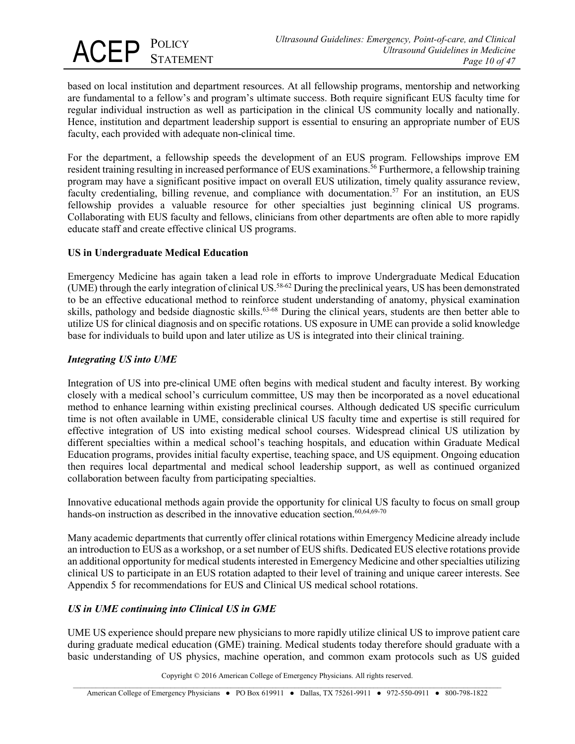based on local institution and department resources. At all fellowship programs, mentorship and networking are fundamental to a fellow's and program's ultimate success. Both require significant EUS faculty time for regular individual instruction as well as participation in the clinical US community locally and nationally. Hence, institution and department leadership support is essential to ensuring an appropriate number of EUS faculty, each provided with adequate non-clinical time.

For the department, a fellowship speeds the development of an EUS program. Fellowships improve EM resident training resulting in increased performance of EUS examinations.<sup>56</sup> Furthermore, a fellowship training program may have a significant positive impact on overall EUS utilization, timely quality assurance review, faculty credentialing, billing revenue, and compliance with documentation.<sup>57</sup> For an institution, an EUS fellowship provides a valuable resource for other specialties just beginning clinical US programs. Collaborating with EUS faculty and fellows, clinicians from other departments are often able to more rapidly educate staff and create effective clinical US programs.

#### **US in Undergraduate Medical Education**

Emergency Medicine has again taken a lead role in efforts to improve Undergraduate Medical Education (UME) through the early integration of clinical US.58-62 During the preclinical years, US has been demonstrated to be an effective educational method to reinforce student understanding of anatomy, physical examination skills, pathology and bedside diagnostic skills.<sup>63-68</sup> During the clinical years, students are then better able to utilize US for clinical diagnosis and on specific rotations. US exposure in UME can provide a solid knowledge base for individuals to build upon and later utilize as US is integrated into their clinical training.

#### *Integrating US into UME*

Integration of US into pre-clinical UME often begins with medical student and faculty interest. By working closely with a medical school's curriculum committee, US may then be incorporated as a novel educational method to enhance learning within existing preclinical courses. Although dedicated US specific curriculum time is not often available in UME, considerable clinical US faculty time and expertise is still required for effective integration of US into existing medical school courses. Widespread clinical US utilization by different specialties within a medical school's teaching hospitals, and education within Graduate Medical Education programs, provides initial faculty expertise, teaching space, and US equipment. Ongoing education then requires local departmental and medical school leadership support, as well as continued organized collaboration between faculty from participating specialties.

Innovative educational methods again provide the opportunity for clinical US faculty to focus on small group hands-on instruction as described in the innovative education section. $60,64,69-70$ 

Many academic departments that currently offer clinical rotations within Emergency Medicine already include an introduction to EUS as a workshop, or a set number of EUS shifts. Dedicated EUS elective rotations provide an additional opportunity for medical students interested in Emergency Medicine and other specialties utilizing clinical US to participate in an EUS rotation adapted to their level of training and unique career interests. See Appendix 5 for recommendations for EUS and Clinical US medical school rotations.

#### *US in UME continuing into Clinical US in GME*

UME US experience should prepare new physicians to more rapidly utilize clinical US to improve patient care during graduate medical education (GME) training. Medical students today therefore should graduate with a basic understanding of US physics, machine operation, and common exam protocols such as US guided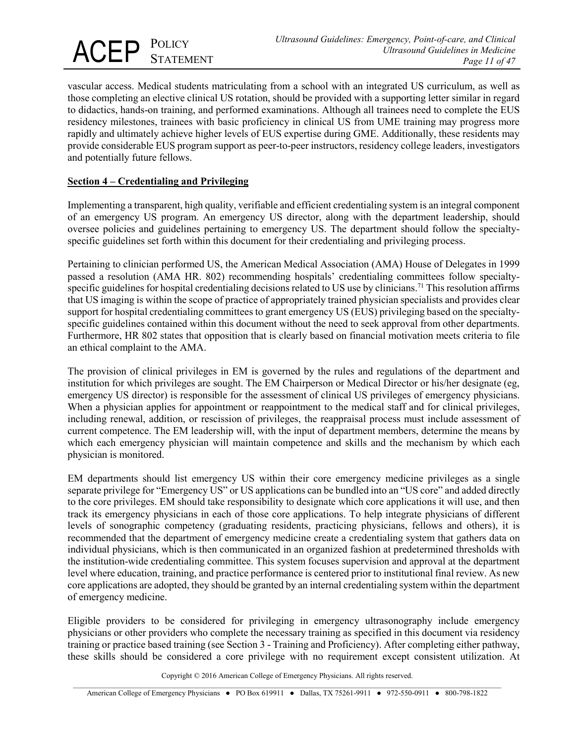### ACEP POLICY STATEMENT

vascular access. Medical students matriculating from a school with an integrated US curriculum, as well as those completing an elective clinical US rotation, should be provided with a supporting letter similar in regard to didactics, hands-on training, and performed examinations. Although all trainees need to complete the EUS residency milestones, trainees with basic proficiency in clinical US from UME training may progress more rapidly and ultimately achieve higher levels of EUS expertise during GME. Additionally, these residents may provide considerable EUS program support as peer-to-peer instructors, residency college leaders, investigators and potentially future fellows.

#### **Section 4 – Credentialing and Privileging**

Implementing a transparent, high quality, verifiable and efficient credentialing system is an integral component of an emergency US program. An emergency US director, along with the department leadership, should oversee policies and guidelines pertaining to emergency US. The department should follow the specialtyspecific guidelines set forth within this document for their credentialing and privileging process.

Pertaining to clinician performed US, the American Medical Association (AMA) House of Delegates in 1999 passed a resolution (AMA HR. 802) recommending hospitals' credentialing committees follow specialtyspecific guidelines for hospital credentialing decisions related to US use by clinicians.<sup>71</sup> This resolution affirms that US imaging is within the scope of practice of appropriately trained physician specialists and provides clear support for hospital credentialing committees to grant emergency US (EUS) privileging based on the specialtyspecific guidelines contained within this document without the need to seek approval from other departments. Furthermore, HR 802 states that opposition that is clearly based on financial motivation meets criteria to file an ethical complaint to the AMA.

The provision of clinical privileges in EM is governed by the rules and regulations of the department and institution for which privileges are sought. The EM Chairperson or Medical Director or his/her designate (eg, emergency US director) is responsible for the assessment of clinical US privileges of emergency physicians. When a physician applies for appointment or reappointment to the medical staff and for clinical privileges, including renewal, addition, or rescission of privileges, the reappraisal process must include assessment of current competence. The EM leadership will, with the input of department members, determine the means by which each emergency physician will maintain competence and skills and the mechanism by which each physician is monitored.

EM departments should list emergency US within their core emergency medicine privileges as a single separate privilege for "Emergency US" or US applications can be bundled into an "US core" and added directly to the core privileges. EM should take responsibility to designate which core applications it will use, and then track its emergency physicians in each of those core applications. To help integrate physicians of different levels of sonographic competency (graduating residents, practicing physicians, fellows and others), it is recommended that the department of emergency medicine create a credentialing system that gathers data on individual physicians, which is then communicated in an organized fashion at predetermined thresholds with the institution-wide credentialing committee. This system focuses supervision and approval at the department level where education, training, and practice performance is centered prior to institutional final review. As new core applications are adopted, they should be granted by an internal credentialing system within the department of emergency medicine.

Eligible providers to be considered for privileging in emergency ultrasonography include emergency physicians or other providers who complete the necessary training as specified in this document via residency training or practice based training (see Section 3 - Training and Proficiency). After completing either pathway, these skills should be considered a core privilege with no requirement except consistent utilization. At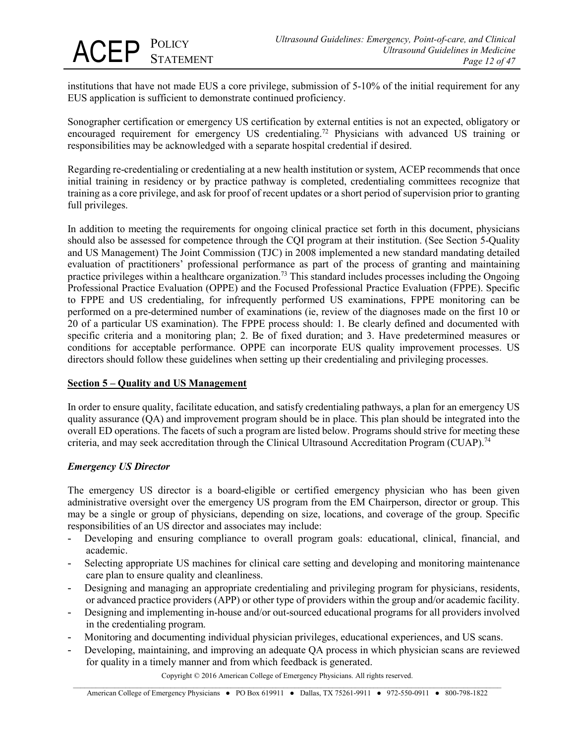institutions that have not made EUS a core privilege, submission of 5-10% of the initial requirement for any EUS application is sufficient to demonstrate continued proficiency.

Sonographer certification or emergency US certification by external entities is not an expected, obligatory or encouraged requirement for emergency US credentialing.<sup>72</sup> Physicians with advanced US training or responsibilities may be acknowledged with a separate hospital credential if desired.

Regarding re-credentialing or credentialing at a new health institution or system, ACEP recommends that once initial training in residency or by practice pathway is completed, credentialing committees recognize that training as a core privilege, and ask for proof of recent updates or a short period of supervision prior to granting full privileges.

In addition to meeting the requirements for ongoing clinical practice set forth in this document, physicians should also be assessed for competence through the CQI program at their institution. (See Section 5-Quality and US Management) The Joint Commission (TJC) in 2008 implemented a new standard mandating detailed evaluation of practitioners' professional performance as part of the process of granting and maintaining practice privileges within a healthcare organization.73 This standard includes processes including the Ongoing Professional Practice Evaluation (OPPE) and the Focused Professional Practice Evaluation (FPPE). Specific to FPPE and US credentialing, for infrequently performed US examinations, FPPE monitoring can be performed on a pre-determined number of examinations (ie, review of the diagnoses made on the first 10 or 20 of a particular US examination). The FPPE process should: 1. Be clearly defined and documented with specific criteria and a monitoring plan; 2. Be of fixed duration; and 3. Have predetermined measures or conditions for acceptable performance. OPPE can incorporate EUS quality improvement processes. US directors should follow these guidelines when setting up their credentialing and privileging processes.

#### **Section 5 – Quality and US Management**

ACFP POLICY

STATEMENT

In order to ensure quality, facilitate education, and satisfy credentialing pathways, a plan for an emergency US quality assurance (QA) and improvement program should be in place. This plan should be integrated into the overall ED operations. The facets of such a program are listed below. Programs should strive for meeting these criteria, and may seek accreditation through the Clinical Ultrasound Accreditation Program (CUAP).<sup>74</sup>

#### *Emergency US Director*

The emergency US director is a board-eligible or certified emergency physician who has been given administrative oversight over the emergency US program from the EM Chairperson, director or group. This may be a single or group of physicians, depending on size, locations, and coverage of the group. Specific responsibilities of an US director and associates may include:

- Developing and ensuring compliance to overall program goals: educational, clinical, financial, and academic.
- Selecting appropriate US machines for clinical care setting and developing and monitoring maintenance care plan to ensure quality and cleanliness.
- Designing and managing an appropriate credentialing and privileging program for physicians, residents, or advanced practice providers (APP) or other type of providers within the group and/or academic facility.
- Designing and implementing in-house and/or out-sourced educational programs for all providers involved in the credentialing program.
- Monitoring and documenting individual physician privileges, educational experiences, and US scans.
- Developing, maintaining, and improving an adequate OA process in which physician scans are reviewed for quality in a timely manner and from which feedback is generated.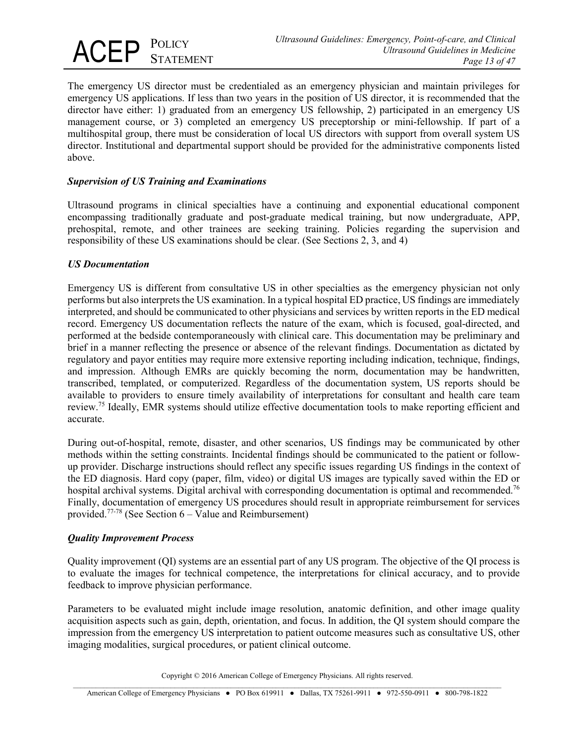# ACEP **POLICY** STATEMENT

The emergency US director must be credentialed as an emergency physician and maintain privileges for emergency US applications. If less than two years in the position of US director, it is recommended that the director have either: 1) graduated from an emergency US fellowship, 2) participated in an emergency US management course, or 3) completed an emergency US preceptorship or mini-fellowship. If part of a multihospital group, there must be consideration of local US directors with support from overall system US director. Institutional and departmental support should be provided for the administrative components listed above.

#### *Supervision of US Training and Examinations*

Ultrasound programs in clinical specialties have a continuing and exponential educational component encompassing traditionally graduate and post-graduate medical training, but now undergraduate, APP, prehospital, remote, and other trainees are seeking training. Policies regarding the supervision and responsibility of these US examinations should be clear. (See Sections 2, 3, and 4)

#### *US Documentation*

Emergency US is different from consultative US in other specialties as the emergency physician not only performs but also interprets the US examination. In a typical hospital ED practice, US findings are immediately interpreted, and should be communicated to other physicians and services by written reports in the ED medical record. Emergency US documentation reflects the nature of the exam, which is focused, goal-directed, and performed at the bedside contemporaneously with clinical care. This documentation may be preliminary and brief in a manner reflecting the presence or absence of the relevant findings. Documentation as dictated by regulatory and payor entities may require more extensive reporting including indication, technique, findings, and impression. Although EMRs are quickly becoming the norm, documentation may be handwritten, transcribed, templated, or computerized. Regardless of the documentation system, US reports should be available to providers to ensure timely availability of interpretations for consultant and health care team review.75 Ideally, EMR systems should utilize effective documentation tools to make reporting efficient and accurate.

During out-of-hospital, remote, disaster, and other scenarios, US findings may be communicated by other methods within the setting constraints. Incidental findings should be communicated to the patient or followup provider. Discharge instructions should reflect any specific issues regarding US findings in the context of the ED diagnosis. Hard copy (paper, film, video) or digital US images are typically saved within the ED or hospital archival systems. Digital archival with corresponding documentation is optimal and recommended.<sup>76</sup> Finally, documentation of emergency US procedures should result in appropriate reimbursement for services provided.<sup>77-78</sup> (See Section  $6 -$  Value and Reimbursement)

#### *Quality Improvement Process*

Quality improvement (QI) systems are an essential part of any US program. The objective of the QI process is to evaluate the images for technical competence, the interpretations for clinical accuracy, and to provide feedback to improve physician performance.

Parameters to be evaluated might include image resolution, anatomic definition, and other image quality acquisition aspects such as gain, depth, orientation, and focus. In addition, the QI system should compare the impression from the emergency US interpretation to patient outcome measures such as consultative US, other imaging modalities, surgical procedures, or patient clinical outcome.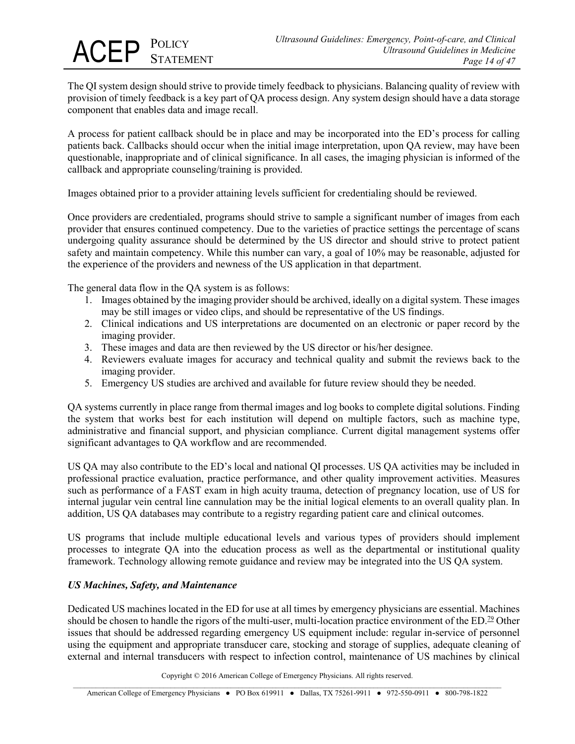The QI system design should strive to provide timely feedback to physicians. Balancing quality of review with provision of timely feedback is a key part of QA process design. Any system design should have a data storage component that enables data and image recall.

A process for patient callback should be in place and may be incorporated into the ED's process for calling patients back. Callbacks should occur when the initial image interpretation, upon QA review, may have been questionable, inappropriate and of clinical significance. In all cases, the imaging physician is informed of the callback and appropriate counseling/training is provided.

Images obtained prior to a provider attaining levels sufficient for credentialing should be reviewed.

Once providers are credentialed, programs should strive to sample a significant number of images from each provider that ensures continued competency. Due to the varieties of practice settings the percentage of scans undergoing quality assurance should be determined by the US director and should strive to protect patient safety and maintain competency. While this number can vary, a goal of 10% may be reasonable, adjusted for the experience of the providers and newness of the US application in that department.

The general data flow in the QA system is as follows:

- 1. Images obtained by the imaging provider should be archived, ideally on a digital system. These images may be still images or video clips, and should be representative of the US findings.
- 2. Clinical indications and US interpretations are documented on an electronic or paper record by the imaging provider.
- 3. These images and data are then reviewed by the US director or his/her designee.
- 4. Reviewers evaluate images for accuracy and technical quality and submit the reviews back to the imaging provider.
- 5. Emergency US studies are archived and available for future review should they be needed.

QA systems currently in place range from thermal images and log books to complete digital solutions. Finding the system that works best for each institution will depend on multiple factors, such as machine type, administrative and financial support, and physician compliance. Current digital management systems offer significant advantages to QA workflow and are recommended.

US QA may also contribute to the ED's local and national QI processes. US QA activities may be included in professional practice evaluation, practice performance, and other quality improvement activities. Measures such as performance of a FAST exam in high acuity trauma, detection of pregnancy location, use of US for internal jugular vein central line cannulation may be the initial logical elements to an overall quality plan. In addition, US QA databases may contribute to a registry regarding patient care and clinical outcomes.

US programs that include multiple educational levels and various types of providers should implement processes to integrate QA into the education process as well as the departmental or institutional quality framework. Technology allowing remote guidance and review may be integrated into the US QA system.

#### *US Machines, Safety, and Maintenance*

Dedicated US machines located in the ED for use at all times by emergency physicians are essential. Machines should be chosen to handle the rigors of the multi-user, multi-location practice environment of the ED.<sup>79</sup> Other issues that should be addressed regarding emergency US equipment include: regular in-service of personnel using the equipment and appropriate transducer care, stocking and storage of supplies, adequate cleaning of external and internal transducers with respect to infection control, maintenance of US machines by clinical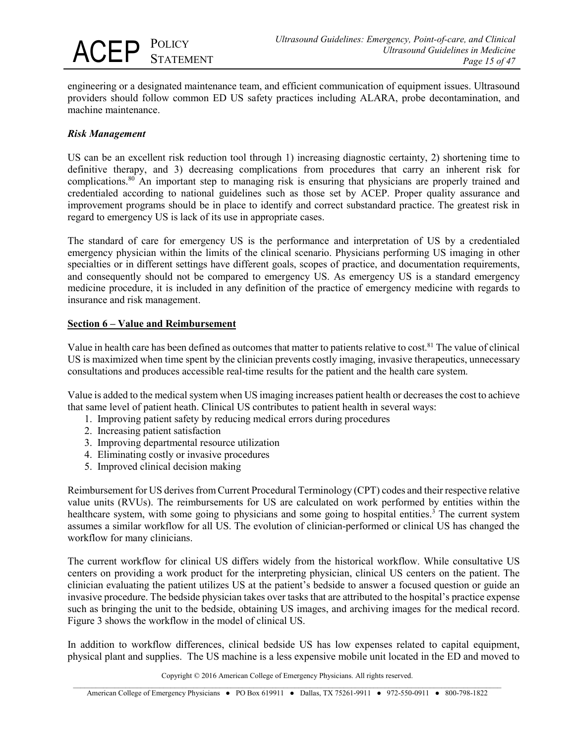engineering or a designated maintenance team, and efficient communication of equipment issues. Ultrasound providers should follow common ED US safety practices including ALARA, probe decontamination, and machine maintenance.

#### *Risk Management*

US can be an excellent risk reduction tool through 1) increasing diagnostic certainty, 2) shortening time to definitive therapy, and 3) decreasing complications from procedures that carry an inherent risk for complications.<sup>80</sup> An important step to managing risk is ensuring that physicians are properly trained and credentialed according to national guidelines such as those set by ACEP. Proper quality assurance and improvement programs should be in place to identify and correct substandard practice. The greatest risk in regard to emergency US is lack of its use in appropriate cases.

The standard of care for emergency US is the performance and interpretation of US by a credentialed emergency physician within the limits of the clinical scenario. Physicians performing US imaging in other specialties or in different settings have different goals, scopes of practice, and documentation requirements, and consequently should not be compared to emergency US. As emergency US is a standard emergency medicine procedure, it is included in any definition of the practice of emergency medicine with regards to insurance and risk management.

#### **Section 6 – Value and Reimbursement**

Value in health care has been defined as outcomes that matter to patients relative to cost.<sup>81</sup> The value of clinical US is maximized when time spent by the clinician prevents costly imaging, invasive therapeutics, unnecessary consultations and produces accessible real-time results for the patient and the health care system.

Value is added to the medical system when US imaging increases patient health or decreases the cost to achieve that same level of patient heath. Clinical US contributes to patient health in several ways:

- 1. Improving patient safety by reducing medical errors during procedures
- 2. Increasing patient satisfaction
- 3. Improving departmental resource utilization
- 4. Eliminating costly or invasive procedures
- 5. Improved clinical decision making

Reimbursement for US derives from Current Procedural Terminology (CPT) codes and their respective relative value units (RVUs). The reimbursements for US are calculated on work performed by entities within the healthcare system, with some going to physicians and some going to hospital entities.<sup>3</sup> The current system assumes a similar workflow for all US. The evolution of clinician-performed or clinical US has changed the workflow for many clinicians.

The current workflow for clinical US differs widely from the historical workflow. While consultative US centers on providing a work product for the interpreting physician, clinical US centers on the patient. The clinician evaluating the patient utilizes US at the patient's bedside to answer a focused question or guide an invasive procedure. The bedside physician takes over tasks that are attributed to the hospital's practice expense such as bringing the unit to the bedside, obtaining US images, and archiving images for the medical record. Figure 3 shows the workflow in the model of clinical US.

In addition to workflow differences, clinical bedside US has low expenses related to capital equipment, physical plant and supplies. The US machine is a less expensive mobile unit located in the ED and moved to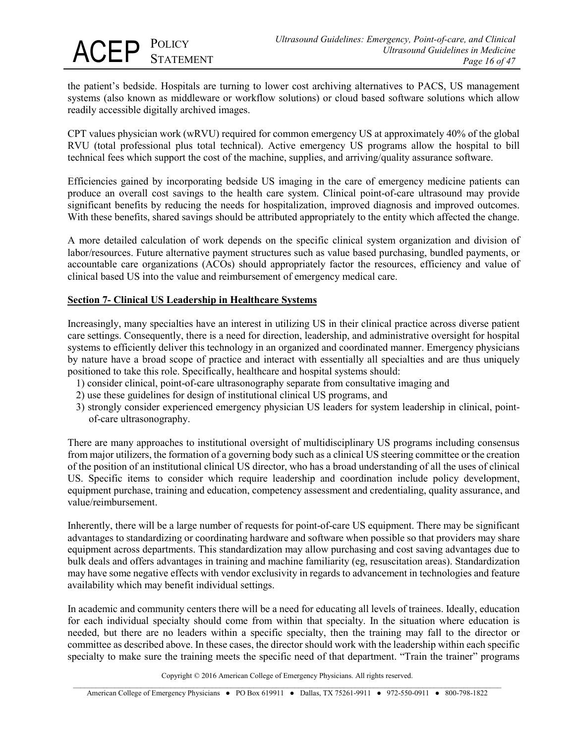the patient's bedside. Hospitals are turning to lower cost archiving alternatives to PACS, US management systems (also known as middleware or workflow solutions) or cloud based software solutions which allow readily accessible digitally archived images.

CPT values physician work (wRVU) required for common emergency US at approximately 40% of the global RVU (total professional plus total technical). Active emergency US programs allow the hospital to bill technical fees which support the cost of the machine, supplies, and arriving/quality assurance software.

Efficiencies gained by incorporating bedside US imaging in the care of emergency medicine patients can produce an overall cost savings to the health care system. Clinical point-of-care ultrasound may provide significant benefits by reducing the needs for hospitalization, improved diagnosis and improved outcomes. With these benefits, shared savings should be attributed appropriately to the entity which affected the change.

A more detailed calculation of work depends on the specific clinical system organization and division of labor/resources. Future alternative payment structures such as value based purchasing, bundled payments, or accountable care organizations (ACOs) should appropriately factor the resources, efficiency and value of clinical based US into the value and reimbursement of emergency medical care.

#### **Section 7- Clinical US Leadership in Healthcare Systems**

Increasingly, many specialties have an interest in utilizing US in their clinical practice across diverse patient care settings. Consequently, there is a need for direction, leadership, and administrative oversight for hospital systems to efficiently deliver this technology in an organized and coordinated manner. Emergency physicians by nature have a broad scope of practice and interact with essentially all specialties and are thus uniquely positioned to take this role. Specifically, healthcare and hospital systems should:

- 1) consider clinical, point-of-care ultrasonography separate from consultative imaging and
- 2) use these guidelines for design of institutional clinical US programs, and
- 3) strongly consider experienced emergency physician US leaders for system leadership in clinical, pointof-care ultrasonography.

There are many approaches to institutional oversight of multidisciplinary US programs including consensus from major utilizers, the formation of a governing body such as a clinical US steering committee or the creation of the position of an institutional clinical US director, who has a broad understanding of all the uses of clinical US. Specific items to consider which require leadership and coordination include policy development, equipment purchase, training and education, competency assessment and credentialing, quality assurance, and value/reimbursement.

Inherently, there will be a large number of requests for point-of-care US equipment. There may be significant advantages to standardizing or coordinating hardware and software when possible so that providers may share equipment across departments. This standardization may allow purchasing and cost saving advantages due to bulk deals and offers advantages in training and machine familiarity (eg, resuscitation areas). Standardization may have some negative effects with vendor exclusivity in regards to advancement in technologies and feature availability which may benefit individual settings.

In academic and community centers there will be a need for educating all levels of trainees. Ideally, education for each individual specialty should come from within that specialty. In the situation where education is needed, but there are no leaders within a specific specialty, then the training may fall to the director or committee as described above. In these cases, the director should work with the leadership within each specific specialty to make sure the training meets the specific need of that department. "Train the trainer" programs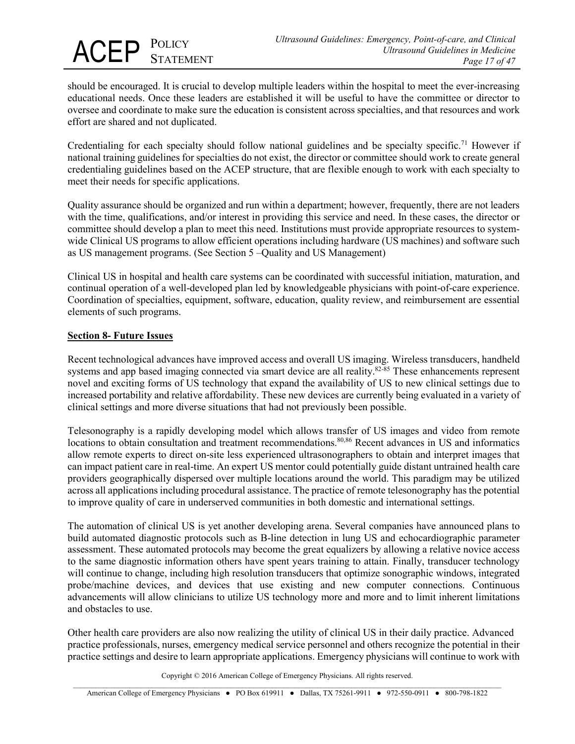should be encouraged. It is crucial to develop multiple leaders within the hospital to meet the ever-increasing educational needs. Once these leaders are established it will be useful to have the committee or director to oversee and coordinate to make sure the education is consistent across specialties, and that resources and work effort are shared and not duplicated.

Credentialing for each specialty should follow national guidelines and be specialty specific.<sup>71</sup> However if national training guidelines for specialties do not exist, the director or committee should work to create general credentialing guidelines based on the ACEP structure, that are flexible enough to work with each specialty to meet their needs for specific applications.

Quality assurance should be organized and run within a department; however, frequently, there are not leaders with the time, qualifications, and/or interest in providing this service and need. In these cases, the director or committee should develop a plan to meet this need. Institutions must provide appropriate resources to systemwide Clinical US programs to allow efficient operations including hardware (US machines) and software such as US management programs. (See Section 5 –Quality and US Management)

Clinical US in hospital and health care systems can be coordinated with successful initiation, maturation, and continual operation of a well-developed plan led by knowledgeable physicians with point-of-care experience. Coordination of specialties, equipment, software, education, quality review, and reimbursement are essential elements of such programs.

#### **Section 8- Future Issues**

Recent technological advances have improved access and overall US imaging. Wireless transducers, handheld systems and app based imaging connected via smart device are all reality.<sup>82-85</sup> These enhancements represent novel and exciting forms of US technology that expand the availability of US to new clinical settings due to increased portability and relative affordability. These new devices are currently being evaluated in a variety of clinical settings and more diverse situations that had not previously been possible.

Telesonography is a rapidly developing model which allows transfer of US images and video from remote locations to obtain consultation and treatment recommendations.<sup>80,86</sup> Recent advances in US and informatics allow remote experts to direct on-site less experienced ultrasonographers to obtain and interpret images that can impact patient care in real-time. An expert US mentor could potentially guide distant untrained health care providers geographically dispersed over multiple locations around the world. This paradigm may be utilized across all applications including procedural assistance. The practice of remote telesonography has the potential to improve quality of care in underserved communities in both domestic and international settings.

The automation of clinical US is yet another developing arena. Several companies have announced plans to build automated diagnostic protocols such as B-line detection in lung US and echocardiographic parameter assessment. These automated protocols may become the great equalizers by allowing a relative novice access to the same diagnostic information others have spent years training to attain. Finally, transducer technology will continue to change, including high resolution transducers that optimize sonographic windows, integrated probe/machine devices, and devices that use existing and new computer connections. Continuous advancements will allow clinicians to utilize US technology more and more and to limit inherent limitations and obstacles to use.

Other health care providers are also now realizing the utility of clinical US in their daily practice. Advanced practice professionals, nurses, emergency medical service personnel and others recognize the potential in their practice settings and desire to learn appropriate applications. Emergency physicians will continue to work with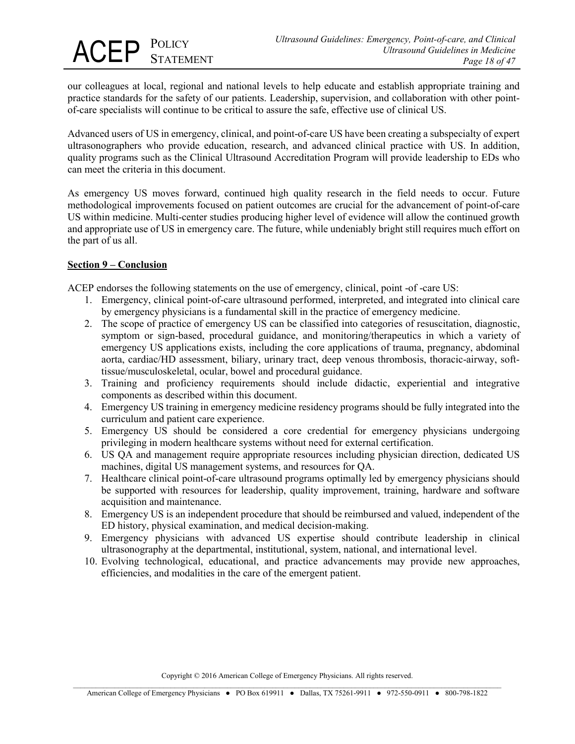our colleagues at local, regional and national levels to help educate and establish appropriate training and practice standards for the safety of our patients. Leadership, supervision, and collaboration with other pointof-care specialists will continue to be critical to assure the safe, effective use of clinical US.

Advanced users of US in emergency, clinical, and point-of-care US have been creating a subspecialty of expert ultrasonographers who provide education, research, and advanced clinical practice with US. In addition, quality programs such as the Clinical Ultrasound Accreditation Program will provide leadership to EDs who can meet the criteria in this document.

As emergency US moves forward, continued high quality research in the field needs to occur. Future methodological improvements focused on patient outcomes are crucial for the advancement of point-of-care US within medicine. Multi-center studies producing higher level of evidence will allow the continued growth and appropriate use of US in emergency care. The future, while undeniably bright still requires much effort on the part of us all.

#### **Section 9 – Conclusion**

ACEP endorses the following statements on the use of emergency, clinical, point -of -care US:

- 1. Emergency, clinical point-of-care ultrasound performed, interpreted, and integrated into clinical care by emergency physicians is a fundamental skill in the practice of emergency medicine.
- 2. The scope of practice of emergency US can be classified into categories of resuscitation, diagnostic, symptom or sign-based, procedural guidance, and monitoring/therapeutics in which a variety of emergency US applications exists, including the core applications of trauma, pregnancy, abdominal aorta, cardiac/HD assessment, biliary, urinary tract, deep venous thrombosis, thoracic-airway, softtissue/musculoskeletal, ocular, bowel and procedural guidance.
- 3. Training and proficiency requirements should include didactic, experiential and integrative components as described within this document.
- 4. Emergency US training in emergency medicine residency programs should be fully integrated into the curriculum and patient care experience.
- 5. Emergency US should be considered a core credential for emergency physicians undergoing privileging in modern healthcare systems without need for external certification.
- 6. US QA and management require appropriate resources including physician direction, dedicated US machines, digital US management systems, and resources for QA.
- 7. Healthcare clinical point-of-care ultrasound programs optimally led by emergency physicians should be supported with resources for leadership, quality improvement, training, hardware and software acquisition and maintenance.
- 8. Emergency US is an independent procedure that should be reimbursed and valued, independent of the ED history, physical examination, and medical decision-making.
- 9. Emergency physicians with advanced US expertise should contribute leadership in clinical ultrasonography at the departmental, institutional, system, national, and international level.
- 10. Evolving technological, educational, and practice advancements may provide new approaches, efficiencies, and modalities in the care of the emergent patient.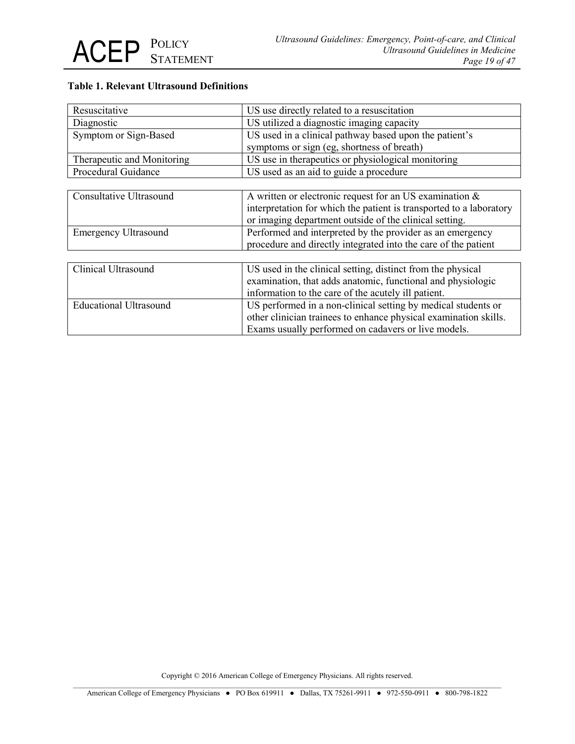#### **Table 1. Relevant Ultrasound Definitions**

| Resuscitative                 | US use directly related to a resuscitation                          |
|-------------------------------|---------------------------------------------------------------------|
| Diagnostic                    | US utilized a diagnostic imaging capacity                           |
| Symptom or Sign-Based         | US used in a clinical pathway based upon the patient's              |
|                               | symptoms or sign (eg, shortness of breath)                          |
| Therapeutic and Monitoring    | US use in therapeutics or physiological monitoring                  |
| Procedural Guidance           | US used as an aid to guide a procedure                              |
|                               |                                                                     |
| Consultative Ultrasound       | A written or electronic request for an US examination &             |
|                               | interpretation for which the patient is transported to a laboratory |
|                               | or imaging department outside of the clinical setting.              |
| <b>Emergency Ultrasound</b>   | Performed and interpreted by the provider as an emergency           |
|                               | procedure and directly integrated into the care of the patient      |
|                               |                                                                     |
| Clinical Ultrasound           | US used in the clinical setting, distinct from the physical         |
|                               | examination, that adds anatomic, functional and physiologic         |
|                               | information to the care of the acutely ill patient.                 |
| <b>Educational Ultrasound</b> | US performed in a non-clinical setting by medical students or       |
|                               | other clinician trainees to enhance physical examination skills.    |
|                               | Exams usually performed on cadavers or live models.                 |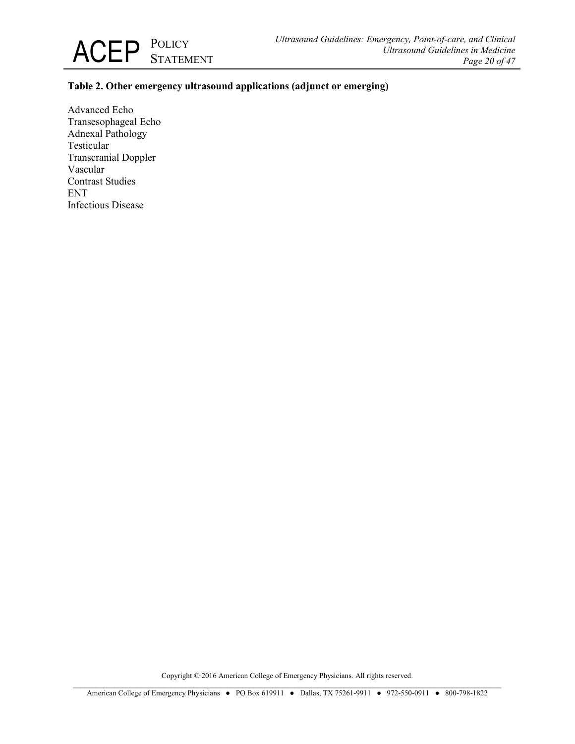#### **Table 2. Other emergency ultrasound applications (adjunct or emerging)**

Advanced Echo Transesophageal Echo Adnexal Pathology Testicular Transcranial Doppler Vascular Contrast Studies ENT Infectious Disease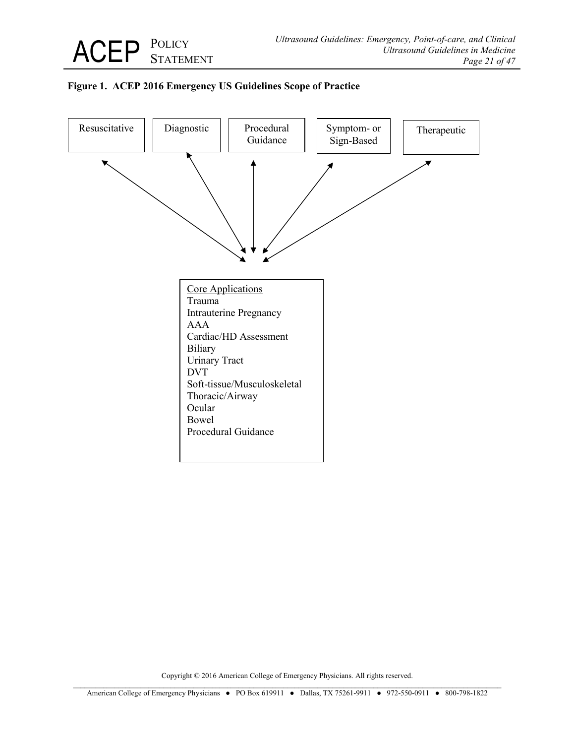#### **Figure 1. ACEP 2016 Emergency US Guidelines Scope of Practice**

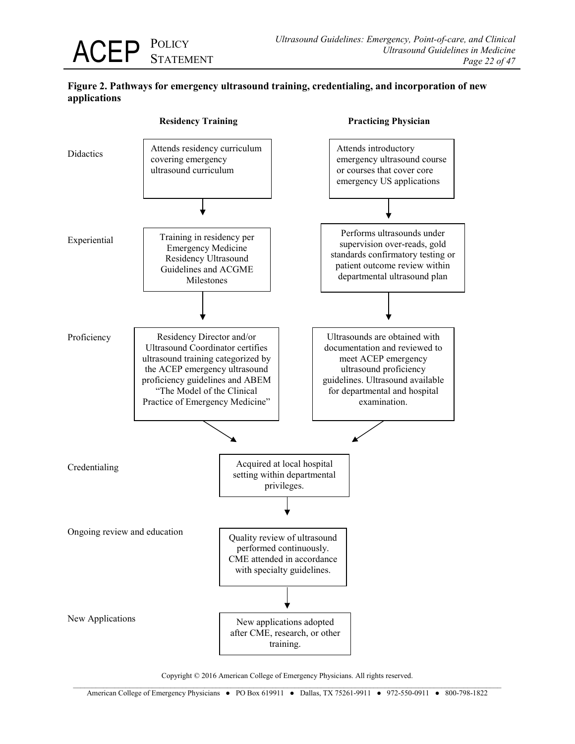#### **Figure 2. Pathways for emergency ultrasound training, credentialing, and incorporation of new applications**



Copyright © 2016 American College of Emergency Physicians. All rights reserved.

American College of Emergency Physicians ● PO Box 619911 ● Dallas, TX 75261-9911 ● 972-550-0911 ● 800-798-1822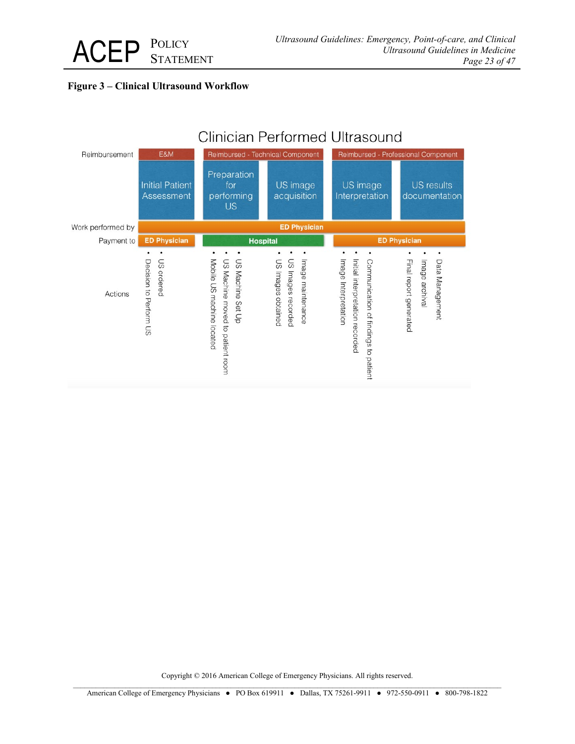#### **Figure 3 – Clinical Ultrasound Workflow**

### Clinician Performed Ultrasound

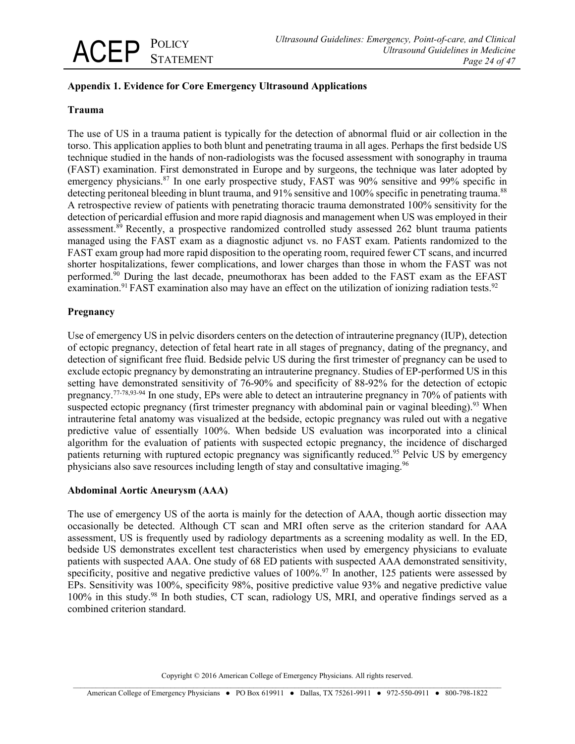#### **Appendix 1. Evidence for Core Emergency Ultrasound Applications**

#### **Trauma**

The use of US in a trauma patient is typically for the detection of abnormal fluid or air collection in the torso. This application applies to both blunt and penetrating trauma in all ages. Perhaps the first bedside US technique studied in the hands of non-radiologists was the focused assessment with sonography in trauma (FAST) examination. First demonstrated in Europe and by surgeons, the technique was later adopted by emergency physicians.<sup>87</sup> In one early prospective study, FAST was 90% sensitive and 99% specific in detecting peritoneal bleeding in blunt trauma, and 91% sensitive and 100% specific in penetrating trauma.<sup>88</sup> A retrospective review of patients with penetrating thoracic trauma demonstrated 100% sensitivity for the detection of pericardial effusion and more rapid diagnosis and management when US was employed in their assessment.<sup>89</sup> Recently, a prospective randomized controlled study assessed 262 blunt trauma patients managed using the FAST exam as a diagnostic adjunct vs. no FAST exam. Patients randomized to the FAST exam group had more rapid disposition to the operating room, required fewer CT scans, and incurred shorter hospitalizations, fewer complications, and lower charges than those in whom the FAST was not performed.<sup>90</sup> During the last decade, pneumothorax has been added to the FAST exam as the EFAST examination.<sup>91</sup> FAST examination also may have an effect on the utilization of ionizing radiation tests.<sup>92</sup>

#### **Pregnancy**

Use of emergency US in pelvic disorders centers on the detection of intrauterine pregnancy (IUP), detection of ectopic pregnancy, detection of fetal heart rate in all stages of pregnancy, dating of the pregnancy, and detection of significant free fluid. Bedside pelvic US during the first trimester of pregnancy can be used to exclude ectopic pregnancy by demonstrating an intrauterine pregnancy. Studies of EP-performed US in this setting have demonstrated sensitivity of 76-90% and specificity of 88-92% for the detection of ectopic pregnancy.<sup>77</sup>-78,93-<sup>94</sup> In one study, EPs were able to detect an intrauterine pregnancy in 70% of patients with suspected ectopic pregnancy (first trimester pregnancy with abdominal pain or vaginal bleeding).<sup>93</sup> When intrauterine fetal anatomy was visualized at the bedside, ectopic pregnancy was ruled out with a negative predictive value of essentially 100%. When bedside US evaluation was incorporated into a clinical algorithm for the evaluation of patients with suspected ectopic pregnancy, the incidence of discharged patients returning with ruptured ectopic pregnancy was significantly reduced.<sup>95</sup> Pelvic US by emergency physicians also save resources including length of stay and consultative imaging.<sup>96</sup>

#### **Abdominal Aortic Aneurysm (AAA)**

The use of emergency US of the aorta is mainly for the detection of AAA, though aortic dissection may occasionally be detected. Although CT scan and MRI often serve as the criterion standard for AAA assessment, US is frequently used by radiology departments as a screening modality as well. In the ED, bedside US demonstrates excellent test characteristics when used by emergency physicians to evaluate patients with suspected AAA. One study of 68 ED patients with suspected AAA demonstrated sensitivity, specificity, positive and negative predictive values of  $100\%$ .<sup>97</sup> In another, 125 patients were assessed by EPs. Sensitivity was 100%, specificity 98%, positive predictive value 93% and negative predictive value 100% in this study.<sup>98</sup> In both studies, CT scan, radiology US, MRI, and operative findings served as a combined criterion standard.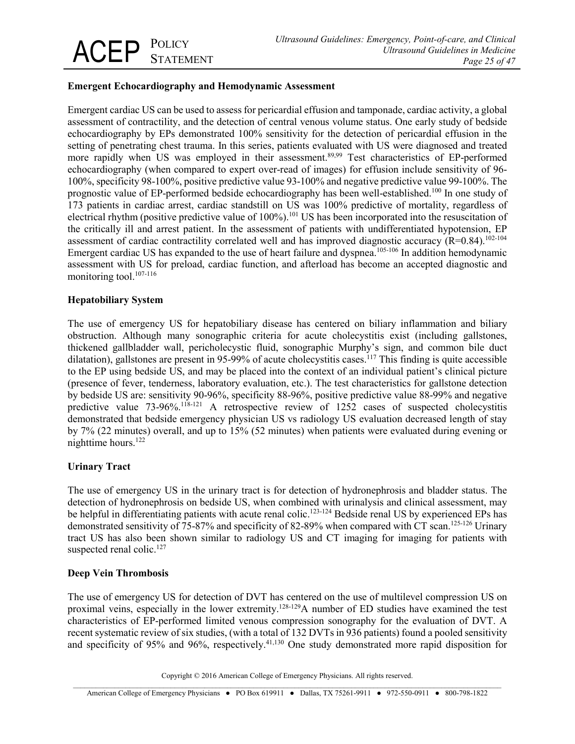#### **Emergent Echocardiography and Hemodynamic Assessment**

Emergent cardiac US can be used to assess for pericardial effusion and tamponade, cardiac activity, a global assessment of contractility, and the detection of central venous volume status. One early study of bedside echocardiography by EPs demonstrated 100% sensitivity for the detection of pericardial effusion in the setting of penetrating chest trauma. In this series, patients evaluated with US were diagnosed and treated more rapidly when US was employed in their assessment.<sup>89,99</sup> Test characteristics of EP-performed echocardiography (when compared to expert over-read of images) for effusion include sensitivity of 96- 100%, specificity 98-100%, positive predictive value 93-100% and negative predictive value 99-100%. The prognostic value of EP-performed bedside echocardiography has been well-established.100 In one study of 173 patients in cardiac arrest, cardiac standstill on US was 100% predictive of mortality, regardless of electrical rhythm (positive predictive value of 100%).<sup>101</sup> US has been incorporated into the resuscitation of the critically ill and arrest patient. In the assessment of patients with undifferentiated hypotension, EP assessment of cardiac contractility correlated well and has improved diagnostic accuracy  $(R=0.84)$ .<sup>102-104</sup> Emergent cardiac US has expanded to the use of heart failure and dyspnea.<sup>105-106</sup> In addition hemodynamic assessment with US for preload, cardiac function, and afterload has become an accepted diagnostic and monitoring tool.<sup>107-116</sup>

#### **Hepatobiliary System**

The use of emergency US for hepatobiliary disease has centered on biliary inflammation and biliary obstruction. Although many sonographic criteria for acute cholecystitis exist (including gallstones, thickened gallbladder wall, pericholecystic fluid, sonographic Murphy's sign, and common bile duct dilatation), gallstones are present in 95-99% of acute cholecystitis cases.<sup>117</sup> This finding is quite accessible to the EP using bedside US, and may be placed into the context of an individual patient's clinical picture (presence of fever, tenderness, laboratory evaluation, etc.). The test characteristics for gallstone detection by bedside US are: sensitivity 90-96%, specificity 88-96%, positive predictive value 88-99% and negative predictive value 73-96%.<sup>118-121</sup> A retrospective review of 1252 cases of suspected cholecystitis demonstrated that bedside emergency physician US vs radiology US evaluation decreased length of stay by 7% (22 minutes) overall, and up to 15% (52 minutes) when patients were evaluated during evening or nighttime hours.122

#### **Urinary Tract**

The use of emergency US in the urinary tract is for detection of hydronephrosis and bladder status. The detection of hydronephrosis on bedside US, when combined with urinalysis and clinical assessment, may be helpful in differentiating patients with acute renal colic.<sup>123-124</sup> Bedside renal US by experienced EPs has demonstrated sensitivity of 75-87% and specificity of 82-89% when compared with CT scan.<sup>125-126</sup> Urinary tract US has also been shown similar to radiology US and CT imaging for imaging for patients with suspected renal colic.<sup>127</sup>

#### **Deep Vein Thrombosis**

The use of emergency US for detection of DVT has centered on the use of multilevel compression US on proximal veins, especially in the lower extremity.128-129A number of ED studies have examined the test characteristics of EP-performed limited venous compression sonography for the evaluation of DVT. A recent systematic review of six studies, (with a total of 132 DVTs in 936 patients) found a pooled sensitivity and specificity of 95% and 96%, respectively.<sup>41,130</sup> One study demonstrated more rapid disposition for

Copyright © 2016 American College of Emergency Physicians. All rights reserved.

American College of Emergency Physicians ● PO Box 619911 ● Dallas, TX 75261-9911 ● 972-550-0911 ● 800-798-1822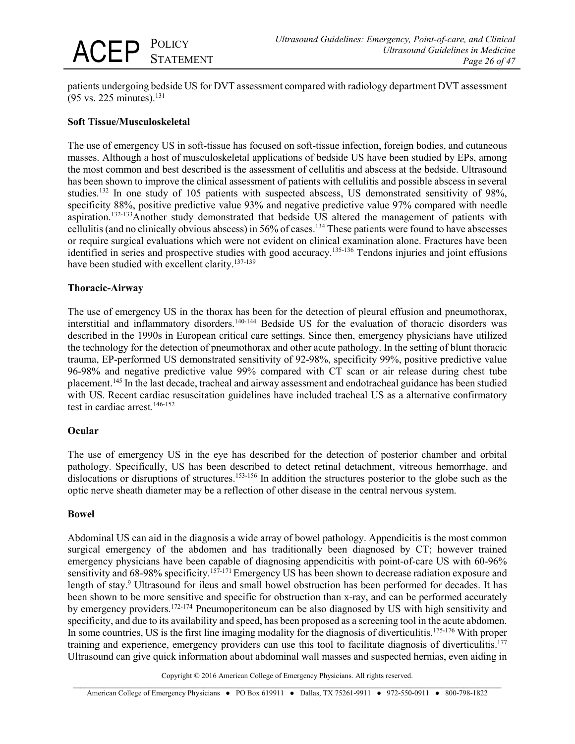# ACEP **POLICY** STATEMENT

patients undergoing bedside US for DVT assessment compared with radiology department DVT assessment (95 vs. 225 minutes).<sup>131</sup>

#### **Soft Tissue/Musculoskeletal**

The use of emergency US in soft-tissue has focused on soft-tissue infection, foreign bodies, and cutaneous masses. Although a host of musculoskeletal applications of bedside US have been studied by EPs, among the most common and best described is the assessment of cellulitis and abscess at the bedside. Ultrasound has been shown to improve the clinical assessment of patients with cellulitis and possible abscess in several studies.132 In one study of 105 patients with suspected abscess, US demonstrated sensitivity of 98%, specificity 88%, positive predictive value 93% and negative predictive value 97% compared with needle aspiration.132-133Another study demonstrated that bedside US altered the management of patients with cellulitis (and no clinically obvious abscess) in 56% of cases.<sup>134</sup> These patients were found to have abscesses or require surgical evaluations which were not evident on clinical examination alone. Fractures have been identified in series and prospective studies with good accuracy.<sup>135-136</sup> Tendons injuries and joint effusions have been studied with excellent clarity.<sup>137-139</sup>

#### **Thoracic-Airway**

The use of emergency US in the thorax has been for the detection of pleural effusion and pneumothorax, interstitial and inflammatory disorders.<sup>140-144</sup> Bedside US for the evaluation of thoracic disorders was described in the 1990s in European critical care settings. Since then, emergency physicians have utilized the technology for the detection of pneumothorax and other acute pathology. In the setting of blunt thoracic trauma, EP-performed US demonstrated sensitivity of 92-98%, specificity 99%, positive predictive value 96-98% and negative predictive value 99% compared with CT scan or air release during chest tube placement.<sup>145</sup> In the last decade, tracheal and airway assessment and endotracheal guidance has been studied with US. Recent cardiac resuscitation guidelines have included tracheal US as a alternative confirmatory test in cardiac arrest.<sup>146-152</sup>

#### **Ocular**

The use of emergency US in the eye has described for the detection of posterior chamber and orbital pathology. Specifically, US has been described to detect retinal detachment, vitreous hemorrhage, and dislocations or disruptions of structures.<sup>153-156</sup> In addition the structures posterior to the globe such as the optic nerve sheath diameter may be a reflection of other disease in the central nervous system.

#### **Bowel**

Abdominal US can aid in the diagnosis a wide array of bowel pathology. Appendicitis is the most common surgical emergency of the abdomen and has traditionally been diagnosed by CT; however trained emergency physicians have been capable of diagnosing appendicitis with point-of-care US with 60-96% sensitivity and 68-98% specificity.<sup>157-171</sup> Emergency US has been shown to decrease radiation exposure and length of stay.<sup>9</sup> Ultrasound for ileus and small bowel obstruction has been performed for decades. It has been shown to be more sensitive and specific for obstruction than x-ray, and can be performed accurately by emergency providers.<sup>172</sup>-<sup>174</sup> Pneumoperitoneum can be also diagnosed by US with high sensitivity and specificity, and due to its availability and speed, has been proposed as a screening tool in the acute abdomen. In some countries, US is the first line imaging modality for the diagnosis of diverticulitis.<sup>175-176</sup> With proper training and experience, emergency providers can use this tool to facilitate diagnosis of diverticulitis.177 Ultrasound can give quick information about abdominal wall masses and suspected hernias, even aiding in

Copyright © 2016 American College of Emergency Physicians. All rights reserved.

American College of Emergency Physicians ● PO Box 619911 ● Dallas, TX 75261-9911 ● 972-550-0911 ● 800-798-1822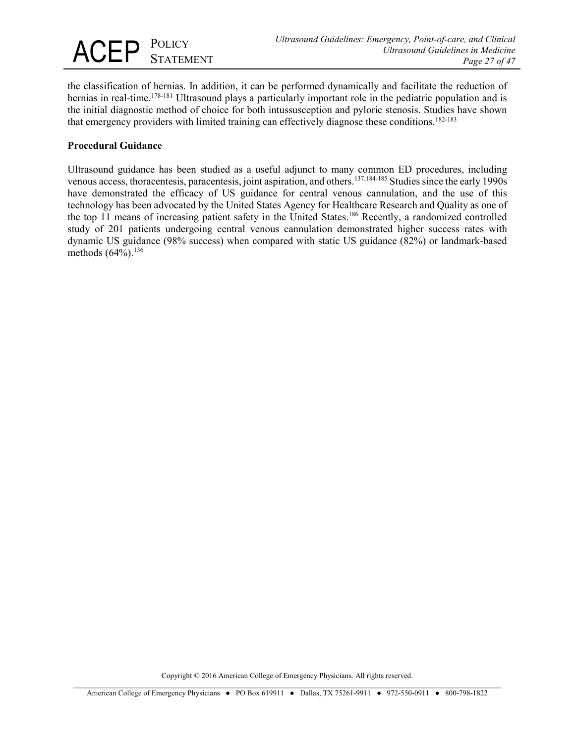the classification of hernias. In addition, it can be performed dynamically and facilitate the reduction of hernias in real-time.<sup>178-181</sup> Ultrasound plays a particularly important role in the pediatric population and is the initial diagnostic method of choice for both intussusception and pyloric stenosis. Studies have shown that emergency providers with limited training can effectively diagnose these conditions.<sup>182-183</sup>

#### **Procedural Guidance**

Ultrasound guidance has been studied as a useful adjunct to many common ED procedures, including venous access, thoracentesis, paracentesis, joint aspiration, and others.137,184-<sup>185</sup> Studies since the early 1990s have demonstrated the efficacy of US guidance for central venous cannulation, and the use of this technology has been advocated by the United States Agency for Healthcare Research and Quality as one of the top 11 means of increasing patient safety in the United States.<sup>186</sup> Recently, a randomized controlled study of 201 patients undergoing central venous cannulation demonstrated higher success rates with dynamic US guidance (98% success) when compared with static US guidance (82%) or landmark-based methods  $(64%)$ <sup>136</sup>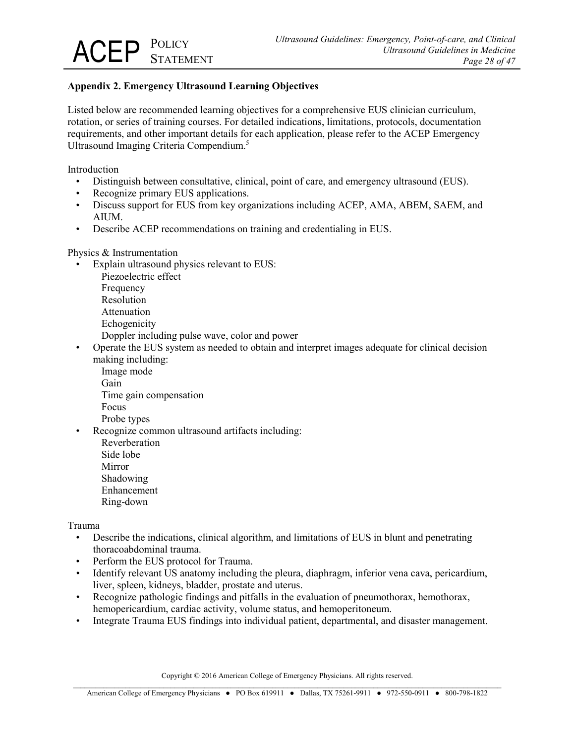#### **Appendix 2. Emergency Ultrasound Learning Objectives**

Listed below are recommended learning objectives for a comprehensive EUS clinician curriculum, rotation, or series of training courses. For detailed indications, limitations, protocols, documentation requirements, and other important details for each application, please refer to the ACEP Emergency Ultrasound Imaging Criteria Compendium.5

Introduction

- Distinguish between consultative, clinical, point of care, and emergency ultrasound (EUS).
- Recognize primary EUS applications.
- Discuss support for EUS from key organizations including ACEP, AMA, ABEM, SAEM, and AIUM.
- Describe ACEP recommendations on training and credentialing in EUS.

Physics & Instrumentation

- Explain ultrasound physics relevant to EUS:
	- Piezoelectric effect Frequency Resolution Attenuation Echogenicity
		- Doppler including pulse wave, color and power
- Operate the EUS system as needed to obtain and interpret images adequate for clinical decision making including:
	- Image mode
	- Gain
		- Time gain compensation
	- Focus
	- Probe types
- Recognize common ultrasound artifacts including:
	- Reverberation
	- Side lobe
	- Mirror
	- Shadowing
	- Enhancement
	- Ring-down

#### Trauma

- Describe the indications, clinical algorithm, and limitations of EUS in blunt and penetrating thoracoabdominal trauma.
- Perform the EUS protocol for Trauma.
- Identify relevant US anatomy including the pleura, diaphragm, inferior vena cava, pericardium, liver, spleen, kidneys, bladder, prostate and uterus.
- Recognize pathologic findings and pitfalls in the evaluation of pneumothorax, hemothorax, hemopericardium, cardiac activity, volume status, and hemoperitoneum.
- Integrate Trauma EUS findings into individual patient, departmental, and disaster management.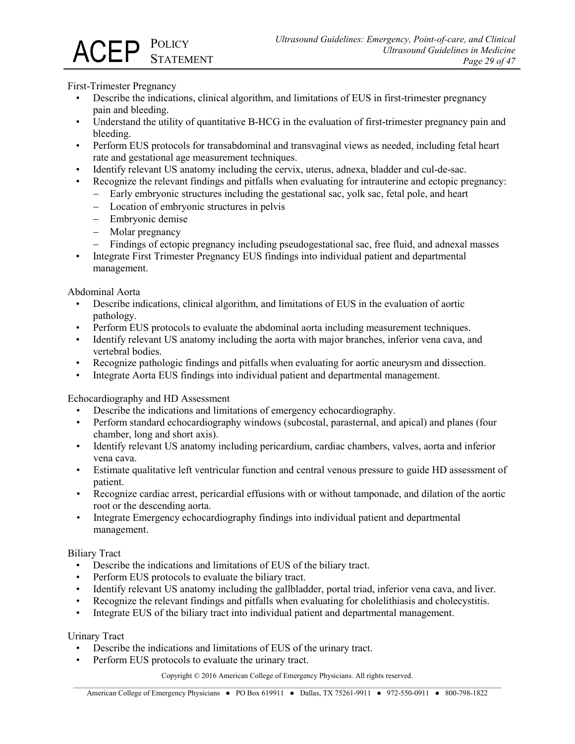First-Trimester Pregnancy

ACEP **POLICY** STATEMENT

- Describe the indications, clinical algorithm, and limitations of EUS in first-trimester pregnancy pain and bleeding.
- Understand the utility of quantitative B-HCG in the evaluation of first-trimester pregnancy pain and bleeding.
- Perform EUS protocols for transabdominal and transvaginal views as needed, including fetal heart rate and gestational age measurement techniques.
- Identify relevant US anatomy including the cervix, uterus, adnexa, bladder and cul-de-sac.
- Recognize the relevant findings and pitfalls when evaluating for intrauterine and ectopic pregnancy:
	- − Early embryonic structures including the gestational sac, yolk sac, fetal pole, and heart
	- − Location of embryonic structures in pelvis
	- − Embryonic demise
	- − Molar pregnancy
	- − Findings of ectopic pregnancy including pseudogestational sac, free fluid, and adnexal masses
- Integrate First Trimester Pregnancy EUS findings into individual patient and departmental management.

Abdominal Aorta

- Describe indications, clinical algorithm, and limitations of EUS in the evaluation of aortic pathology.
- Perform EUS protocols to evaluate the abdominal aorta including measurement techniques.
- Identify relevant US anatomy including the aorta with major branches, inferior vena cava, and vertebral bodies.
- Recognize pathologic findings and pitfalls when evaluating for aortic aneurysm and dissection.
- Integrate Aorta EUS findings into individual patient and departmental management.

Echocardiography and HD Assessment

- Describe the indications and limitations of emergency echocardiography.
- Perform standard echocardiography windows (subcostal, parasternal, and apical) and planes (four chamber, long and short axis).
- Identify relevant US anatomy including pericardium, cardiac chambers, valves, aorta and inferior vena cava.
- Estimate qualitative left ventricular function and central venous pressure to guide HD assessment of patient.
- Recognize cardiac arrest, pericardial effusions with or without tamponade, and dilation of the aortic root or the descending aorta.
- Integrate Emergency echocardiography findings into individual patient and departmental management.

Biliary Tract

- Describe the indications and limitations of EUS of the biliary tract.
- Perform EUS protocols to evaluate the biliary tract.
- Identify relevant US anatomy including the gallbladder, portal triad, inferior vena cava, and liver.
- Recognize the relevant findings and pitfalls when evaluating for cholelithiasis and cholecystitis.
- Integrate EUS of the biliary tract into individual patient and departmental management.

Urinary Tract

- Describe the indications and limitations of EUS of the urinary tract.
- Perform EUS protocols to evaluate the urinary tract.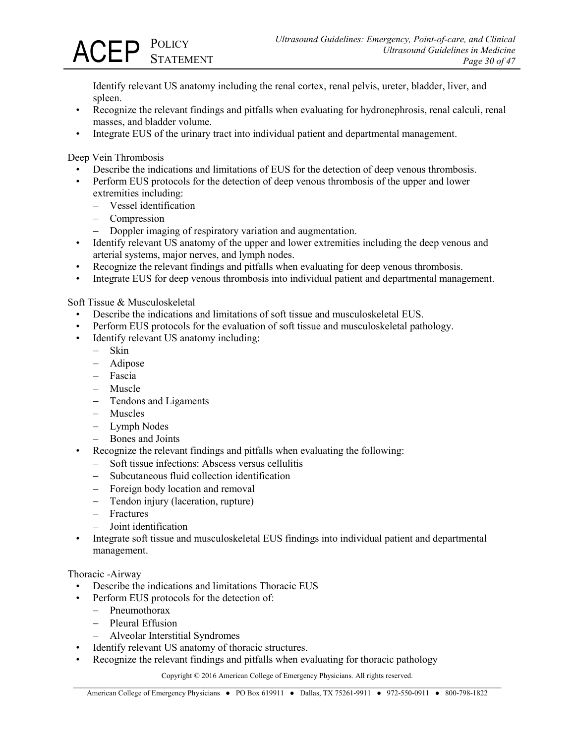Identify relevant US anatomy including the renal cortex, renal pelvis, ureter, bladder, liver, and spleen.

- Recognize the relevant findings and pitfalls when evaluating for hydronephrosis, renal calculi, renal masses, and bladder volume.
- Integrate EUS of the urinary tract into individual patient and departmental management.

Deep Vein Thrombosis

- Describe the indications and limitations of EUS for the detection of deep venous thrombosis.
- Perform EUS protocols for the detection of deep venous thrombosis of the upper and lower extremities including:
	- − Vessel identification

ACEP **POLICY** STATEMENT

- − Compression
- − Doppler imaging of respiratory variation and augmentation.
- Identify relevant US anatomy of the upper and lower extremities including the deep venous and arterial systems, major nerves, and lymph nodes.
- Recognize the relevant findings and pitfalls when evaluating for deep venous thrombosis.
- Integrate EUS for deep venous thrombosis into individual patient and departmental management.

Soft Tissue & Musculoskeletal

- Describe the indications and limitations of soft tissue and musculoskeletal EUS.
- Perform EUS protocols for the evaluation of soft tissue and musculoskeletal pathology.
- Identify relevant US anatomy including:
	- − Skin
	- − Adipose
	- − Fascia
	- − Muscle
	- − Tendons and Ligaments
	- − Muscles
	- − Lymph Nodes
	- − Bones and Joints
- Recognize the relevant findings and pitfalls when evaluating the following:
	- Soft tissue infections: Abscess versus cellulitis
	- − Subcutaneous fluid collection identification
	- − Foreign body location and removal
	- − Tendon injury (laceration, rupture)
	- − Fractures
	- Joint identification
- Integrate soft tissue and musculoskeletal EUS findings into individual patient and departmental management.

Thoracic -Airway

- Describe the indications and limitations Thoracic EUS
- Perform EUS protocols for the detection of:
	- − Pneumothorax
	- − Pleural Effusion
	- − Alveolar Interstitial Syndromes
	- Identify relevant US anatomy of thoracic structures.
- Recognize the relevant findings and pitfalls when evaluating for thoracic pathology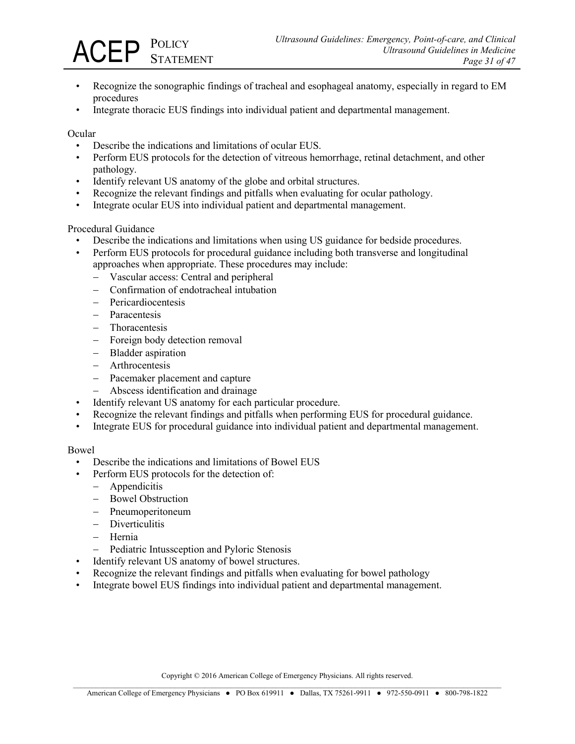- Recognize the sonographic findings of tracheal and esophageal anatomy, especially in regard to EM procedures
- Integrate thoracic EUS findings into individual patient and departmental management.

#### Ocular

- Describe the indications and limitations of ocular EUS.
- Perform EUS protocols for the detection of vitreous hemorrhage, retinal detachment, and other pathology.
- Identify relevant US anatomy of the globe and orbital structures.
- Recognize the relevant findings and pitfalls when evaluating for ocular pathology.
- Integrate ocular EUS into individual patient and departmental management.

#### Procedural Guidance

- Describe the indications and limitations when using US guidance for bedside procedures.
- Perform EUS protocols for procedural guidance including both transverse and longitudinal approaches when appropriate. These procedures may include:
	- Vascular access: Central and peripheral
	- − Confirmation of endotracheal intubation
	- − Pericardiocentesis

ACEP **POLICY** STATEMENT

- − Paracentesis
- − Thoracentesis
- − Foreign body detection removal
- − Bladder aspiration
- − Arthrocentesis
- − Pacemaker placement and capture
- − Abscess identification and drainage
- Identify relevant US anatomy for each particular procedure.
- Recognize the relevant findings and pitfalls when performing EUS for procedural guidance.
- Integrate EUS for procedural guidance into individual patient and departmental management.

#### Bowel

- Describe the indications and limitations of Bowel EUS
	- Perform EUS protocols for the detection of:
		- − Appendicitis
		- − Bowel Obstruction
		- − Pneumoperitoneum
		- − Diverticulitis
		- − Hernia
		- − Pediatric Intussception and Pyloric Stenosis
- Identify relevant US anatomy of bowel structures.
- Recognize the relevant findings and pitfalls when evaluating for bowel pathology
- Integrate bowel EUS findings into individual patient and departmental management.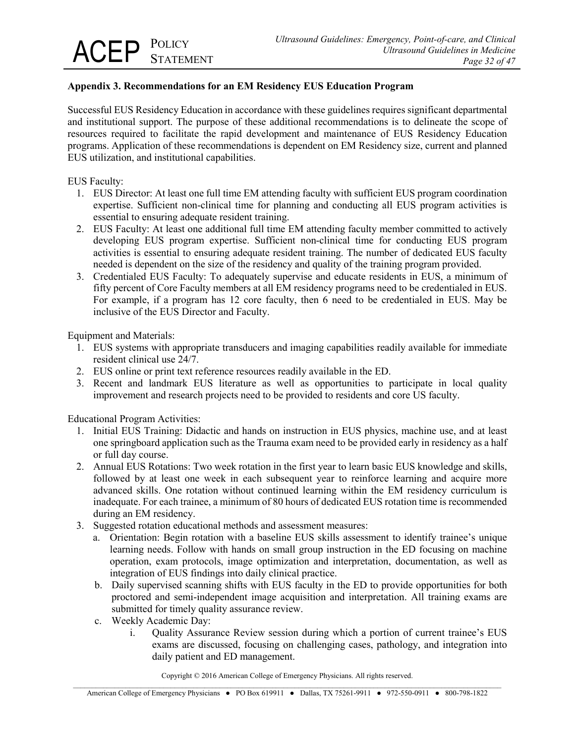#### **Appendix 3. Recommendations for an EM Residency EUS Education Program**

Successful EUS Residency Education in accordance with these guidelines requires significant departmental and institutional support. The purpose of these additional recommendations is to delineate the scope of resources required to facilitate the rapid development and maintenance of EUS Residency Education programs. Application of these recommendations is dependent on EM Residency size, current and planned EUS utilization, and institutional capabilities.

EUS Faculty:

- 1. EUS Director: At least one full time EM attending faculty with sufficient EUS program coordination expertise. Sufficient non-clinical time for planning and conducting all EUS program activities is essential to ensuring adequate resident training.
- 2. EUS Faculty: At least one additional full time EM attending faculty member committed to actively developing EUS program expertise. Sufficient non-clinical time for conducting EUS program activities is essential to ensuring adequate resident training. The number of dedicated EUS faculty needed is dependent on the size of the residency and quality of the training program provided.
- 3. Credentialed EUS Faculty: To adequately supervise and educate residents in EUS, a minimum of fifty percent of Core Faculty members at all EM residency programs need to be credentialed in EUS. For example, if a program has 12 core faculty, then 6 need to be credentialed in EUS. May be inclusive of the EUS Director and Faculty.

Equipment and Materials:

- 1. EUS systems with appropriate transducers and imaging capabilities readily available for immediate resident clinical use 24/7.
- 2. EUS online or print text reference resources readily available in the ED.
- 3. Recent and landmark EUS literature as well as opportunities to participate in local quality improvement and research projects need to be provided to residents and core US faculty.

Educational Program Activities:

- 1. Initial EUS Training: Didactic and hands on instruction in EUS physics, machine use, and at least one springboard application such as the Trauma exam need to be provided early in residency as a half or full day course.
- 2. Annual EUS Rotations: Two week rotation in the first year to learn basic EUS knowledge and skills, followed by at least one week in each subsequent year to reinforce learning and acquire more advanced skills. One rotation without continued learning within the EM residency curriculum is inadequate. For each trainee, a minimum of 80 hours of dedicated EUS rotation time is recommended during an EM residency.
- 3. Suggested rotation educational methods and assessment measures:
	- a. Orientation: Begin rotation with a baseline EUS skills assessment to identify trainee's unique learning needs. Follow with hands on small group instruction in the ED focusing on machine operation, exam protocols, image optimization and interpretation, documentation, as well as integration of EUS findings into daily clinical practice.
	- b. Daily supervised scanning shifts with EUS faculty in the ED to provide opportunities for both proctored and semi-independent image acquisition and interpretation. All training exams are submitted for timely quality assurance review.
	- c. Weekly Academic Day:
		- i. Quality Assurance Review session during which a portion of current trainee's EUS exams are discussed, focusing on challenging cases, pathology, and integration into daily patient and ED management.

Copyright © 2016 American College of Emergency Physicians. All rights reserved.

American College of Emergency Physicians ● PO Box 619911 ● Dallas, TX 75261-9911 ● 972-550-0911 ● 800-798-1822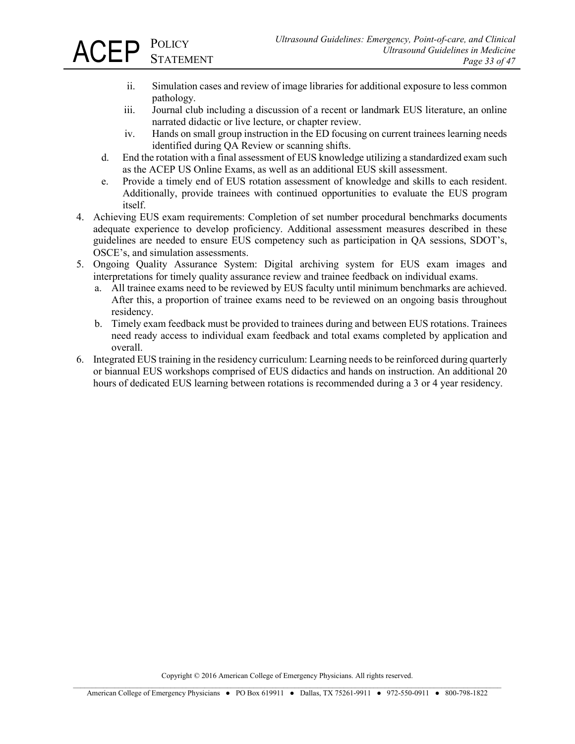- ii. Simulation cases and review of image libraries for additional exposure to less common pathology.
- iii. Journal club including a discussion of a recent or landmark EUS literature, an online narrated didactic or live lecture, or chapter review.
- iv. Hands on small group instruction in the ED focusing on current trainees learning needs identified during QA Review or scanning shifts.
- d. End the rotation with a final assessment of EUS knowledge utilizing a standardized exam such as the ACEP US Online Exams, as well as an additional EUS skill assessment.
- e. Provide a timely end of EUS rotation assessment of knowledge and skills to each resident. Additionally, provide trainees with continued opportunities to evaluate the EUS program itself.
- 4. Achieving EUS exam requirements: Completion of set number procedural benchmarks documents adequate experience to develop proficiency. Additional assessment measures described in these guidelines are needed to ensure EUS competency such as participation in QA sessions, SDOT's, OSCE's, and simulation assessments.
- 5. Ongoing Quality Assurance System: Digital archiving system for EUS exam images and interpretations for timely quality assurance review and trainee feedback on individual exams.
	- a. All trainee exams need to be reviewed by EUS faculty until minimum benchmarks are achieved. After this, a proportion of trainee exams need to be reviewed on an ongoing basis throughout residency.
	- b. Timely exam feedback must be provided to trainees during and between EUS rotations. Trainees need ready access to individual exam feedback and total exams completed by application and overall.
- 6. Integrated EUS training in the residency curriculum: Learning needs to be reinforced during quarterly or biannual EUS workshops comprised of EUS didactics and hands on instruction. An additional 20 hours of dedicated EUS learning between rotations is recommended during a 3 or 4 year residency.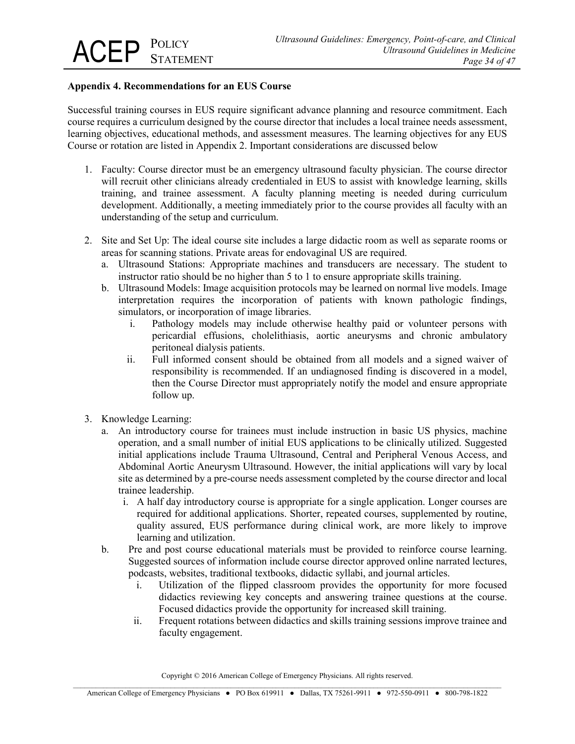#### **Appendix 4. Recommendations for an EUS Course**

STATEMENT

ACFP POLICY

Successful training courses in EUS require significant advance planning and resource commitment. Each course requires a curriculum designed by the course director that includes a local trainee needs assessment, learning objectives, educational methods, and assessment measures. The learning objectives for any EUS Course or rotation are listed in Appendix 2. Important considerations are discussed below

- 1. Faculty: Course director must be an emergency ultrasound faculty physician. The course director will recruit other clinicians already credentialed in EUS to assist with knowledge learning, skills training, and trainee assessment. A faculty planning meeting is needed during curriculum development. Additionally, a meeting immediately prior to the course provides all faculty with an understanding of the setup and curriculum.
- 2. Site and Set Up: The ideal course site includes a large didactic room as well as separate rooms or areas for scanning stations. Private areas for endovaginal US are required.
	- a. Ultrasound Stations: Appropriate machines and transducers are necessary. The student to instructor ratio should be no higher than 5 to 1 to ensure appropriate skills training.
	- b. Ultrasound Models: Image acquisition protocols may be learned on normal live models. Image interpretation requires the incorporation of patients with known pathologic findings, simulators, or incorporation of image libraries.
		- i. Pathology models may include otherwise healthy paid or volunteer persons with pericardial effusions, cholelithiasis, aortic aneurysms and chronic ambulatory peritoneal dialysis patients.
		- ii. Full informed consent should be obtained from all models and a signed waiver of responsibility is recommended. If an undiagnosed finding is discovered in a model, then the Course Director must appropriately notify the model and ensure appropriate follow up.
- 3. Knowledge Learning:
	- a. An introductory course for trainees must include instruction in basic US physics, machine operation, and a small number of initial EUS applications to be clinically utilized. Suggested initial applications include Trauma Ultrasound, Central and Peripheral Venous Access, and Abdominal Aortic Aneurysm Ultrasound. However, the initial applications will vary by local site as determined by a pre-course needs assessment completed by the course director and local trainee leadership.
		- i. A half day introductory course is appropriate for a single application. Longer courses are required for additional applications. Shorter, repeated courses, supplemented by routine, quality assured, EUS performance during clinical work, are more likely to improve learning and utilization.
	- b. Pre and post course educational materials must be provided to reinforce course learning. Suggested sources of information include course director approved online narrated lectures, podcasts, websites, traditional textbooks, didactic syllabi, and journal articles.
		- i. Utilization of the flipped classroom provides the opportunity for more focused didactics reviewing key concepts and answering trainee questions at the course. Focused didactics provide the opportunity for increased skill training.
		- ii. Frequent rotations between didactics and skills training sessions improve trainee and faculty engagement.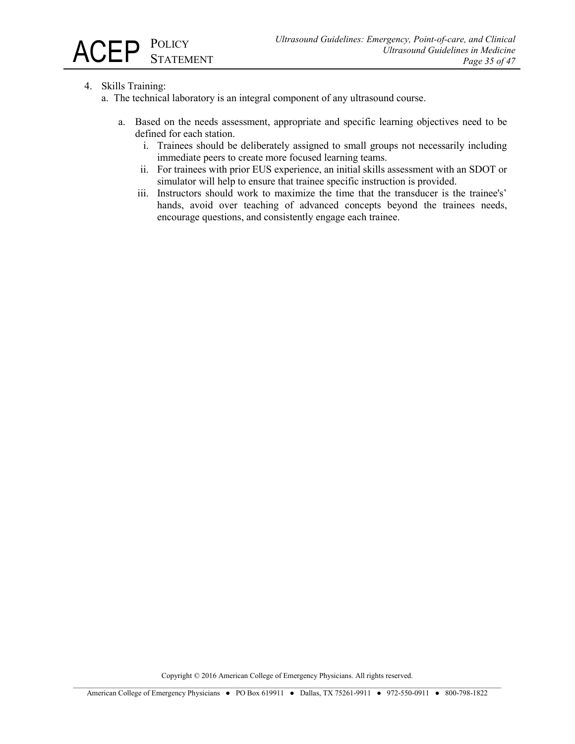#### 4. Skills Training:

- a. The technical laboratory is an integral component of any ultrasound course.
	- a. Based on the needs assessment, appropriate and specific learning objectives need to be defined for each station.
		- i. Trainees should be deliberately assigned to small groups not necessarily including immediate peers to create more focused learning teams.
		- ii. For trainees with prior EUS experience, an initial skills assessment with an SDOT or simulator will help to ensure that trainee specific instruction is provided.
		- iii. Instructors should work to maximize the time that the transducer is the trainee's' hands, avoid over teaching of advanced concepts beyond the trainees needs, encourage questions, and consistently engage each trainee.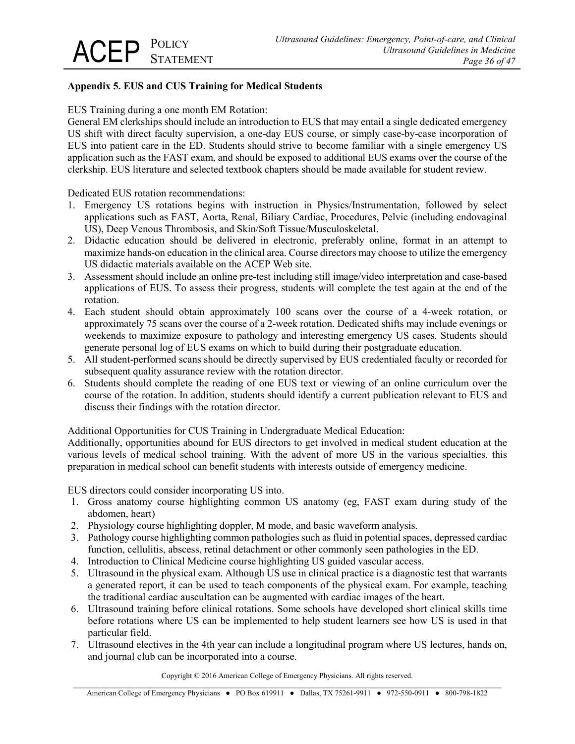#### **Appendix 5. EUS and CUS Training for Medical Students**

EUS Training during a one month EM Rotation:

General EM clerkships should include an introduction to EUS that may entail a single dedicated emergency US shift with direct faculty supervision, a one-day EUS course, or simply case-by-case incorporation of EUS into patient care in the ED. Students should strive to become familiar with a single emergency US application such as the FAST exam, and should be exposed to additional EUS exams over the course of the clerkship. EUS literature and selected textbook chapters should be made available for student review.

Dedicated EUS rotation recommendations:

- 1. Emergency US rotations begins with instruction in Physics/Instrumentation, followed by select applications such as FAST, Aorta, Renal, Biliary Cardiac, Procedures, Pelvic (including endovaginal US), Deep Venous Thrombosis, and Skin/Soft Tissue/Musculoskeletal.
- 2. Didactic education should be delivered in electronic, preferably online, format in an attempt to maximize hands-on education in the clinical area. Course directors may choose to utilize the emergency US didactic materials available on the ACEP Web site.
- 3. Assessment should include an online pre-test including still image/video interpretation and case-based applications of EUS. To assess their progress, students will complete the test again at the end of the rotation.
- 4. Each student should obtain approximately 100 scans over the course of a 4-week rotation, or approximately 75 scans over the course of a 2-week rotation. Dedicated shifts may include evenings or weekends to maximize exposure to pathology and interesting emergency US cases. Students should generate personal log of EUS exams on which to build during their postgraduate education.
- 5. All student-performed scans should be directly supervised by EUS credentialed faculty or recorded for subsequent quality assurance review with the rotation director.
- 6. Students should complete the reading of one EUS text or viewing of an online curriculum over the course of the rotation. In addition, students should identify a current publication relevant to EUS and discuss their findings with the rotation director.

Additional Opportunities for CUS Training in Undergraduate Medical Education:

Additionally, opportunities abound for EUS directors to get involved in medical student education at the various levels of medical school training. With the advent of more US in the various specialties, this preparation in medical school can benefit students with interests outside of emergency medicine.

EUS directors could consider incorporating US into.

- 1. Gross anatomy course highlighting common US anatomy (eg, FAST exam during study of the abdomen, heart)
- 2. Physiology course highlighting doppler, M mode, and basic waveform analysis.
- 3. Pathology course highlighting common pathologies such as fluid in potential spaces, depressed cardiac function, cellulitis, abscess, retinal detachment or other commonly seen pathologies in the ED.
- 4. Introduction to Clinical Medicine course highlighting US guided vascular access.
- 5. Ultrasound in the physical exam. Although US use in clinical practice is a diagnostic test that warrants a generated report, it can be used to teach components of the physical exam. For example, teaching the traditional cardiac auscultation can be augmented with cardiac images of the heart.
- 6. Ultrasound training before clinical rotations. Some schools have developed short clinical skills time before rotations where US can be implemented to help student learners see how US is used in that particular field.
- 7. Ultrasound electives in the 4th year can include a longitudinal program where US lectures, hands on, and journal club can be incorporated into a course.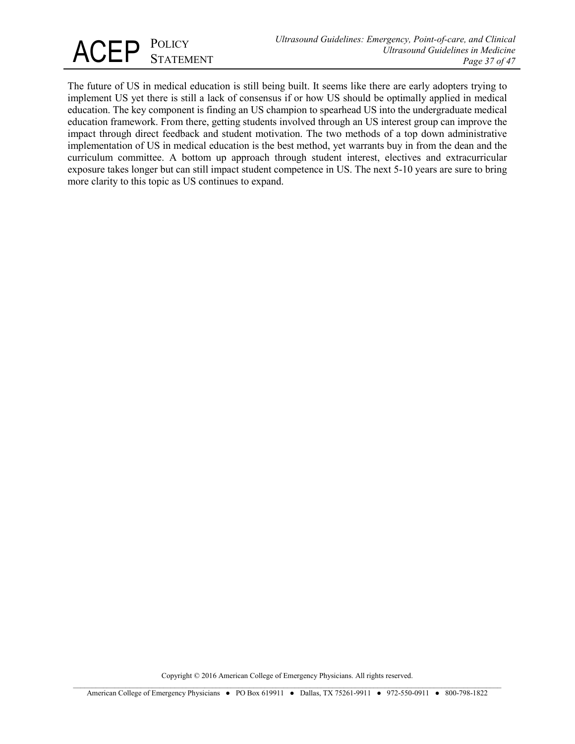

The future of US in medical education is still being built. It seems like there are early adopters trying to implement US yet there is still a lack of consensus if or how US should be optimally applied in medical education. The key component is finding an US champion to spearhead US into the undergraduate medical education framework. From there, getting students involved through an US interest group can improve the impact through direct feedback and student motivation. The two methods of a top down administrative implementation of US in medical education is the best method, yet warrants buy in from the dean and the curriculum committee. A bottom up approach through student interest, electives and extracurricular exposure takes longer but can still impact student competence in US. The next 5-10 years are sure to bring more clarity to this topic as US continues to expand.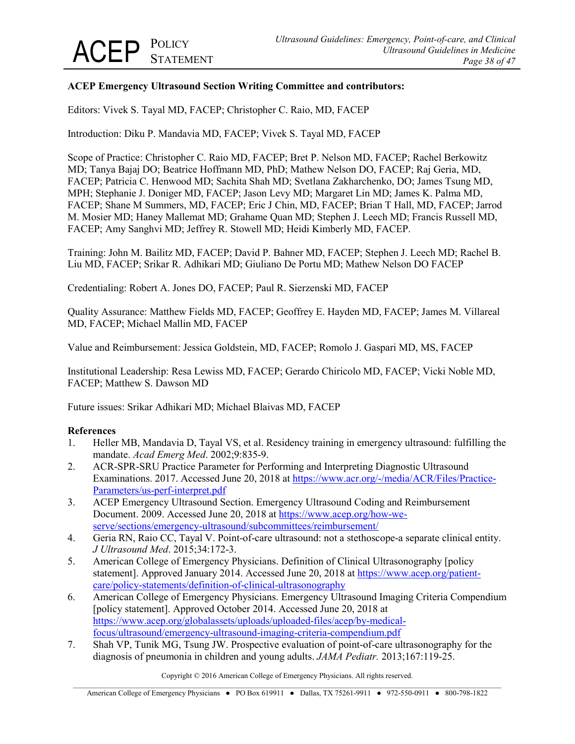#### **ACEP Emergency Ultrasound Section Writing Committee and contributors:**

Editors: Vivek S. Tayal MD, FACEP; Christopher C. Raio, MD, FACEP

Introduction: Diku P. Mandavia MD, FACEP; Vivek S. Tayal MD, FACEP

Scope of Practice: Christopher C. Raio MD, FACEP; Bret P. Nelson MD, FACEP; Rachel Berkowitz MD; Tanya Bajaj DO; Beatrice Hoffmann MD, PhD; Mathew Nelson DO, FACEP; Raj Geria, MD, FACEP; Patricia C. Henwood MD; Sachita Shah MD; Svetlana Zakharchenko, DO; James Tsung MD, MPH; Stephanie J. Doniger MD, FACEP; Jason Levy MD; Margaret Lin MD; James K. Palma MD, FACEP; Shane M Summers, MD, FACEP; Eric J Chin, MD, FACEP; Brian T Hall, MD, FACEP; Jarrod M. Mosier MD; Haney Mallemat MD; Grahame Quan MD; Stephen J. Leech MD; Francis Russell MD, FACEP; Amy Sanghvi MD; Jeffrey R. Stowell MD; Heidi Kimberly MD, FACEP.

Training: John M. Bailitz MD, FACEP; David P. Bahner MD, FACEP; Stephen J. Leech MD; Rachel B. Liu MD, FACEP; Srikar R. Adhikari MD; Giuliano De Portu MD; Mathew Nelson DO FACEP

Credentialing: Robert A. Jones DO, FACEP; Paul R. Sierzenski MD, FACEP

Quality Assurance: Matthew Fields MD, FACEP; Geoffrey E. Hayden MD, FACEP; James M. Villareal MD, FACEP; Michael Mallin MD, FACEP

Value and Reimbursement: Jessica Goldstein, MD, FACEP; Romolo J. Gaspari MD, MS, FACEP

Institutional Leadership: Resa Lewiss MD, FACEP; Gerardo Chiricolo MD, FACEP; Vicki Noble MD, FACEP; Matthew S. Dawson MD

Future issues: Srikar Adhikari MD; Michael Blaivas MD, FACEP

#### **References**

- 1. Heller MB, Mandavia D, Tayal VS, et al. Residency training in emergency ultrasound: fulfilling the mandate. *Acad Emerg Med*. 2002;9:835-9.
- 2. ACR-SPR-SRU Practice Parameter for Performing and Interpreting Diagnostic Ultrasound Examinations. 2017. Accessed June 20, 2018 at https://www.acr.org/-[/media/ACR/Files/Practice](https://www.acr.org/-/media/ACR/Files/Practice-Parameters/us-perf-interpret.pdf)-Parameters/us[-perf-interpret.pdf](https://www.acr.org/-/media/ACR/Files/Practice-Parameters/us-perf-interpret.pdf)
- 3. ACEP Emergency Ultrasound Section. Emergency Ultrasound Coding and Reimbursement Document. 2009. Accessed June 20, 2018 at [https://www.acep.org/how](https://www.acep.org/how-we-serve/sections/emergency-ultrasound/subcommittees/reimbursement/)-weserve/sections/emergency-[ultrasound/subcommittees/reimbursement/](https://www.acep.org/how-we-serve/sections/emergency-ultrasound/subcommittees/reimbursement/)
- 4. Geria RN, Raio CC, Tayal V. Point-of-care ultrasound: not a stethoscope-a separate clinical entity. *J Ultrasound Med*. 2015;34:172-3.
- 5. American College of Emergency Physicians. Definition of Clinical Ultrasonography [policy statement]. Approved January 2014. Accessed June 20, 2018 at [https://www.acep.org/patient](https://www.acep.org/patient-care/policy-statements/definition-of-clinical-ultrasonography)care/policy-statements/definition[-of-clinical-ultrasonography](https://www.acep.org/patient-care/policy-statements/definition-of-clinical-ultrasonography)
- 6. American College of Emergency Physicians. Emergency Ultrasound Imaging Criteria Compendium [policy statement]. Approved October 2014. Accessed June 20, 2018 at [https://www.acep.org/globalassets/uploads/uploaded](https://www.acep.org/globalassets/uploads/uploaded-files/acep/by-medical-focus/ultrasound/emergency-ultrasound-imaging-criteria-compendium.pdf)-files/acep/by-medicalfocus/ultrasound/emergency[-ultrasound-imaging-criteria-compendium.pdf](https://www.acep.org/globalassets/uploads/uploaded-files/acep/by-medical-focus/ultrasound/emergency-ultrasound-imaging-criteria-compendium.pdf)
- 7. Shah VP, Tunik MG, Tsung JW. Prospective evaluation of point-of-care ultrasonography for the diagnosis of pneumonia in children and young adults. *JAMA Pediatr.* 2013;167:119-25.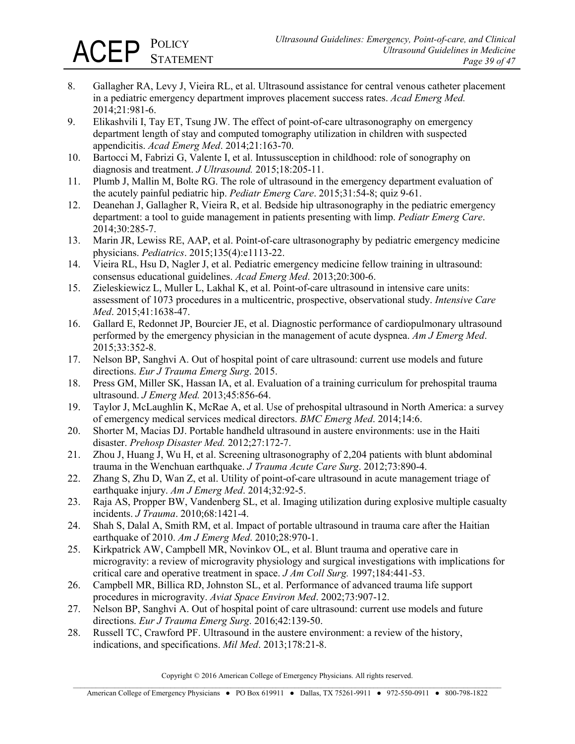- 8. Gallagher RA, Levy J, Vieira RL, et al. Ultrasound assistance for central venous catheter placement in a pediatric emergency department improves placement success rates. *Acad Emerg Med.* 2014;21:981-6.
- 9. Elikashvili I, Tay ET, Tsung JW. The effect of point-of-care ultrasonography on emergency department length of stay and computed tomography utilization in children with suspected appendicitis. *Acad Emerg Med*. 2014;21:163-70.
- 10. Bartocci M, Fabrizi G, Valente I, et al. Intussusception in childhood: role of sonography on diagnosis and treatment. *J Ultrasound.* 2015;18:205-11.
- 11. Plumb J, Mallin M, Bolte RG. The role of ultrasound in the emergency department evaluation of the acutely painful pediatric hip. *Pediatr Emerg Care*. 2015;31:54-8; quiz 9-61.
- 12. Deanehan J, Gallagher R, Vieira R, et al. Bedside hip ultrasonography in the pediatric emergency department: a tool to guide management in patients presenting with limp. *Pediatr Emerg Care*. 2014;30:285-7.
- 13. Marin JR, Lewiss RE, AAP, et al. Point-of-care ultrasonography by pediatric emergency medicine physicians. *Pediatrics*. 2015;135(4):e1113-22.
- 14. Vieira RL, Hsu D, Nagler J, et al. Pediatric emergency medicine fellow training in ultrasound: consensus educational guidelines. *Acad Emerg Med*. 2013;20:300-6.
- 15. Zieleskiewicz L, Muller L, Lakhal K, et al. Point-of-care ultrasound in intensive care units: assessment of 1073 procedures in a multicentric, prospective, observational study. *Intensive Care Med*. 2015;41:1638-47.
- 16. Gallard E, Redonnet JP, Bourcier JE, et al. Diagnostic performance of cardiopulmonary ultrasound performed by the emergency physician in the management of acute dyspnea. *Am J Emerg Med*. 2015;33:352-8.
- 17. Nelson BP, Sanghvi A. Out of hospital point of care ultrasound: current use models and future directions. *Eur J Trauma Emerg Surg*. 2015.
- 18. Press GM, Miller SK, Hassan IA, et al. Evaluation of a training curriculum for prehospital trauma ultrasound. *J Emerg Med.* 2013;45:856-64.
- 19. Taylor J, McLaughlin K, McRae A, et al. Use of prehospital ultrasound in North America: a survey of emergency medical services medical directors. *BMC Emerg Med*. 2014;14:6.
- 20. Shorter M, Macias DJ. Portable handheld ultrasound in austere environments: use in the Haiti disaster. *Prehosp Disaster Med.* 2012;27:172-7.
- 21. Zhou J, Huang J, Wu H, et al. Screening ultrasonography of 2,204 patients with blunt abdominal trauma in the Wenchuan earthquake. *J Trauma Acute Care Surg*. 2012;73:890-4.
- 22. Zhang S, Zhu D, Wan Z, et al. Utility of point-of-care ultrasound in acute management triage of earthquake injury. *Am J Emerg Med*. 2014;32:92-5.
- 23. Raja AS, Propper BW, Vandenberg SL, et al. Imaging utilization during explosive multiple casualty incidents. *J Trauma*. 2010;68:1421-4.
- 24. Shah S, Dalal A, Smith RM, et al. Impact of portable ultrasound in trauma care after the Haitian earthquake of 2010. *Am J Emerg Med*. 2010;28:970-1.
- 25. Kirkpatrick AW, Campbell MR, Novinkov OL, et al. Blunt trauma and operative care in microgravity: a review of microgravity physiology and surgical investigations with implications for critical care and operative treatment in space. *J Am Coll Surg.* 1997;184:441-53.
- 26. Campbell MR, Billica RD, Johnston SL, et al. Performance of advanced trauma life support procedures in microgravity. *Aviat Space Environ Med*. 2002;73:907-12.
- 27. Nelson BP, Sanghvi A. Out of hospital point of care ultrasound: current use models and future directions. *Eur J Trauma Emerg Surg*. 2016;42:139-50.
- 28. Russell TC, Crawford PF. Ultrasound in the austere environment: a review of the history, indications, and specifications. *Mil Med*. 2013;178:21-8.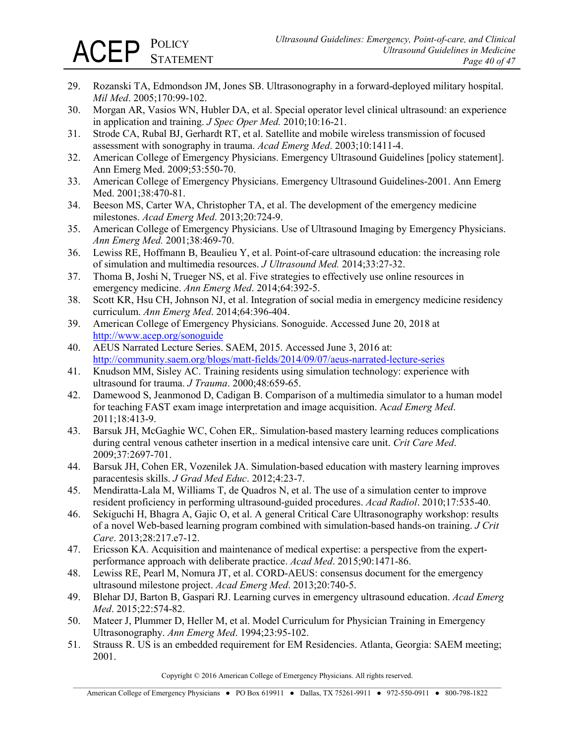- 29. Rozanski TA, Edmondson JM, Jones SB. Ultrasonography in a forward-deployed military hospital. *Mil Med*. 2005;170:99-102.
- 30. Morgan AR, Vasios WN, Hubler DA, et al. Special operator level clinical ultrasound: an experience in application and training. *J Spec Oper Med.* 2010;10:16-21.
- 31. Strode CA, Rubal BJ, Gerhardt RT, et al. Satellite and mobile wireless transmission of focused assessment with sonography in trauma. *Acad Emerg Med*. 2003;10:1411-4.
- 32. American College of Emergency Physicians. Emergency Ultrasound Guidelines [policy statement]. Ann Emerg Med. 2009;53:550-70.
- 33. American College of Emergency Physicians. Emergency Ultrasound Guidelines-2001. Ann Emerg Med. 2001;38:470-81.
- 34. Beeson MS, Carter WA, Christopher TA, et al. The development of the emergency medicine milestones. *Acad Emerg Med*. 2013;20:724-9.
- 35. American College of Emergency Physicians. Use of Ultrasound Imaging by Emergency Physicians. *Ann Emerg Med.* 2001;38:469-70.
- 36. Lewiss RE, Hoffmann B, Beaulieu Y, et al. Point-of-care ultrasound education: the increasing role of simulation and multimedia resources. *J Ultrasound Med.* 2014;33:27-32.
- 37. Thoma B, Joshi N, Trueger NS, et al. Five strategies to effectively use online resources in emergency medicine. *Ann Emerg Med*. 2014;64:392-5.
- 38. Scott KR, Hsu CH, Johnson NJ, et al. Integration of social media in emergency medicine residency curriculum. *Ann Emerg Med*. 2014;64:396-404.
- 39. American College of Emergency Physicians. Sonoguide. Accessed June 20, 2018 at <http://www.acep.org/sonoguide>
- 40. AEUS Narrated Lecture Series. SAEM, 2015. Accessed June 3, 2016 at: [http://community.saem.org/blogs/matt](http://community.saem.org/blogs/matt-fields/2014/09/07/aeus-narrated-lecture-series)-fields/2014/09/07/aeus-narrated-lecture-series
- 41. Knudson MM, Sisley AC. Training residents using simulation technology: experience with ultrasound for trauma. *J Trauma*. 2000;48:659-65.
- 42. Damewood S, Jeanmonod D, Cadigan B. Comparison of a multimedia simulator to a human model for teaching FAST exam image interpretation and image acquisition. A*cad Emerg Med*. 2011;18:413-9.
- 43. Barsuk JH, McGaghie WC, Cohen ER,. Simulation-based mastery learning reduces complications during central venous catheter insertion in a medical intensive care unit. *Crit Care Med*. 2009;37:2697-701.
- 44. Barsuk JH, Cohen ER, Vozenilek JA. Simulation-based education with mastery learning improves paracentesis skills. *J Grad Med Educ*. 2012;4:23-7.
- 45. Mendiratta-Lala M, Williams T, de Quadros N, et al. The use of a simulation center to improve resident proficiency in performing ultrasound-guided procedures. *Acad Radiol*. 2010;17:535-40.
- 46. Sekiguchi H, Bhagra A, Gajic O, et al. A general Critical Care Ultrasonography workshop: results of a novel Web-based learning program combined with simulation-based hands-on training. *J Crit Care*. 2013;28:217.e7-12.
- 47. Ericsson KA. Acquisition and maintenance of medical expertise: a perspective from the expertperformance approach with deliberate practice. *Acad Med*. 2015;90:1471-86.
- 48. Lewiss RE, Pearl M, Nomura JT, et al. CORD-AEUS: consensus document for the emergency ultrasound milestone project. *Acad Emerg Med*. 2013;20:740-5.
- 49. Blehar DJ, Barton B, Gaspari RJ. Learning curves in emergency ultrasound education. *Acad Emerg Med*. 2015;22:574-82.
- 50. Mateer J, Plummer D, Heller M, et al. Model Curriculum for Physician Training in Emergency Ultrasonography. *Ann Emerg Med*. 1994;23:95-102.
- 51. Strauss R. US is an embedded requirement for EM Residencies. Atlanta, Georgia: SAEM meeting; 2001.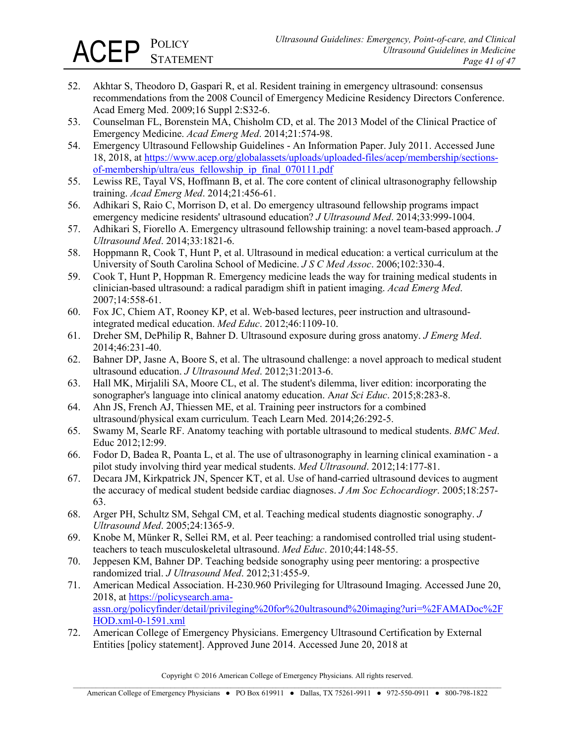- 52. Akhtar S, Theodoro D, Gaspari R, et al. Resident training in emergency ultrasound: consensus recommendations from the 2008 Council of Emergency Medicine Residency Directors Conference. Acad Emerg Med. 2009;16 Suppl 2:S32-6.
- 53. Counselman FL, Borenstein MA, Chisholm CD, et al. The 2013 Model of the Clinical Practice of Emergency Medicine. *Acad Emerg Med*. 2014;21:574-98.
- 54. Emergency Ultrasound Fellowship Guidelines An Information Paper. July 2011. Accessed June 18, 2018, a[t https://www.acep.org/globalassets/uploads/uploaded](https://www.acep.org/globalassets/uploads/uploaded-files/acep/membership/sections-of-membership/ultra/eus_fellowship_ip_final_070111.pdf)-files/acep/membership/sectionsof-[membership/ultra/eus\\_fellowship\\_ip\\_final\\_070111.pdf](https://www.acep.org/globalassets/uploads/uploaded-files/acep/membership/sections-of-membership/ultra/eus_fellowship_ip_final_070111.pdf)
- 55. Lewiss RE, Tayal VS, Hoffmann B, et al. The core content of clinical ultrasonography fellowship training. *Acad Emerg Med*. 2014;21:456-61.
- 56. Adhikari S, Raio C, Morrison D, et al. Do emergency ultrasound fellowship programs impact emergency medicine residents' ultrasound education? *J Ultrasound Med*. 2014;33:999-1004.
- 57. Adhikari S, Fiorello A. Emergency ultrasound fellowship training: a novel team-based approach. *J Ultrasound Med*. 2014;33:1821-6.
- 58. Hoppmann R, Cook T, Hunt P, et al. Ultrasound in medical education: a vertical curriculum at the University of South Carolina School of Medicine. *J S C Med Assoc*. 2006;102:330-4.
- 59. Cook T, Hunt P, Hoppman R. Emergency medicine leads the way for training medical students in clinician-based ultrasound: a radical paradigm shift in patient imaging. *Acad Emerg Med*. 2007;14:558-61.
- 60. Fox JC, Chiem AT, Rooney KP, et al. Web-based lectures, peer instruction and ultrasoundintegrated medical education. *Med Educ*. 2012;46:1109-10.
- 61. Dreher SM, DePhilip R, Bahner D. Ultrasound exposure during gross anatomy. *J Emerg Med*. 2014;46:231-40.
- 62. Bahner DP, Jasne A, Boore S, et al. The ultrasound challenge: a novel approach to medical student ultrasound education. *J Ultrasound Med*. 2012;31:2013-6.
- 63. Hall MK, Mirjalili SA, Moore CL, et al. The student's dilemma, liver edition: incorporating the sonographer's language into clinical anatomy education. A*nat Sci Educ*. 2015;8:283-8.
- 64. Ahn JS, French AJ, Thiessen ME, et al. Training peer instructors for a combined ultrasound/physical exam curriculum. Teach Learn Med. 2014;26:292-5.
- 65. Swamy M, Searle RF. Anatomy teaching with portable ultrasound to medical students. *BMC Med*. Educ 2012;12:99.
- 66. Fodor D, Badea R, Poanta L, et al. The use of ultrasonography in learning clinical examination a pilot study involving third year medical students. *Med Ultrasound*. 2012;14:177-81.
- 67. Decara JM, Kirkpatrick JN, Spencer KT, et al. Use of hand-carried ultrasound devices to augment the accuracy of medical student bedside cardiac diagnoses. *J Am Soc Echocardiogr*. 2005;18:257- 63.
- 68. Arger PH, Schultz SM, Sehgal CM, et al. Teaching medical students diagnostic sonography. *J Ultrasound Med*. 2005;24:1365-9.
- 69. Knobe M, Münker R, Sellei RM, et al. Peer teaching: a randomised controlled trial using studentteachers to teach musculoskeletal ultrasound. *Med Educ*. 2010;44:148-55.
- 70. Jeppesen KM, Bahner DP. Teaching bedside sonography using peer mentoring: a prospective randomized trial. *J Ultrasound Med*. 2012;31:455-9.
- 71. American Medical Association. H-230.960 Privileging for Ultrasound Imaging. Accessed June 20, 2018, at https://policysearch.amaassn.org/policyfinder/detail/privileging%20for%20ultrasound%20imaging?uri=%2FAMADoc%2F HOD.xml-0-1591.xml
- 72. American College of Emergency Physicians. Emergency Ultrasound Certification by External Entities [policy statement]. Approved June 2014. Accessed June 20, 2018 at

American College of Emergency Physicians ● PO Box 619911 ● Dallas, TX 75261-9911 ● 972-550-0911 ● 800-798-1822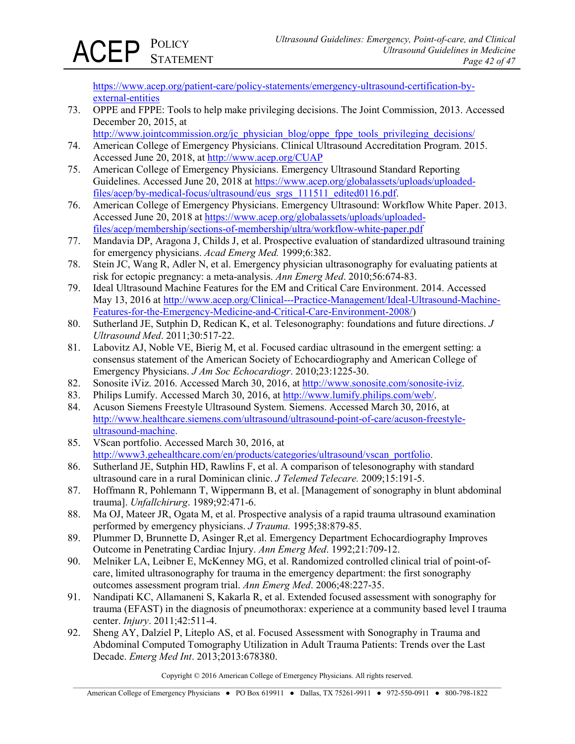https://www.acep.org/patient-care/policy-statements/emergency-ultrasound-certification-byexternal-entities

ACFP POLICY

STATEMENT

73. OPPE and FPPE: Tools to help make privileging decisions. The Joint Commission, 2013. Accessed December 20, 2015, at

[http://www.jointcommission.org/jc\\_physician\\_blog/oppe\\_fppe\\_tools\\_privileging\\_decisions/](http://www.jointcommission.org/jc_physician_blog/oppe_fppe_tools_privileging_decisions/)

- 74. American College of Emergency Physicians. Clinical Ultrasound Accreditation Program. 2015. Accessed June 20, 2018, at<http://www.acep.org/CUAP>
- 75. American College of Emergency Physicians. Emergency Ultrasound Standard Reporting Guidelines. Accessed June 20, 2018 at [https://www.acep.org/globalassets/uploads/upload](https://www.acep.org/globalassets/uploads/uploaded-files/acep/by-medical-focus/ultrasound/eus_srgs_111511_edited0116.pdf)edfiles/acep/by-medical-[focus/ultrasound/eus\\_srgs\\_111511\\_edited0116.pdf](https://www.acep.org/globalassets/uploads/uploaded-files/acep/by-medical-focus/ultrasound/eus_srgs_111511_edited0116.pdf).
- 76. American College of Emergency Physicians. Emergency Ultrasound: Workflow White Paper. 2013. Accessed June 20, 2018 at [https://www.acep.org/globalassets/uploads/uploaded](https://www.acep.org/globalassets/uploads/uploaded-files/acep/membership/sections-of-membership/ultra/workflow-white-paper.pdf)[files/acep/membership/sections](https://www.acep.org/globalassets/uploads/uploaded-files/acep/membership/sections-of-membership/ultra/workflow-white-paper.pdf)-of-membership/ultra/workflow-white-paper.pdf
- 77. Mandavia DP, Aragona J, Childs J, et al. Prospective evaluation of standardized ultrasound training for emergency physicians. *Acad Emerg Med.* 1999;6:382.
- 78. Stein JC, Wang R, Adler N, et al. Emergency physician ultrasonography for evaluating patients at risk for ectopic pregnancy: a meta-analysis. *Ann Emerg Med*. 2010;56:674-83.
- 79. Ideal Ultrasound Machine Features for the EM and Critical Care Environment. 2014. Accessed May 13, 2016 at [http://www.acep.org/Clinical](http://www.acep.org/Clinical---Practice-Management/Ideal-Ultrasound-Machine-Features-for-the-Emergency-Medicine-and-Critical-Care-Environment-2008/)---Practice-Management/Ideal-Ultrasound-Machine-Features-for-the-Emergency-Medicine[-and-Critical-Care-Environment-](http://www.acep.org/Clinical---Practice-Management/Ideal-Ultrasound-Machine-Features-for-the-Emergency-Medicine-and-Critical-Care-Environment-2008/)2008/)
- 80. Sutherland JE, Sutphin D, Redican K, et al. Telesonography: foundations and future directions. *J Ultrasound Med*. 2011;30:517-22.
- 81. Labovitz AJ, Noble VE, Bierig M, et al. Focused cardiac ultrasound in the emergent setting: a consensus statement of the American Society of Echocardiography and American College of Emergency Physicians. *J Am Soc Echocardiogr*. 2010;23:1225-30.
- 82. Sonosite iViz. 2016. Accessed March 30, 2016, at [http://www.sonosite.com/sonosite](http://www.sonosite.com/sonosite-iviz)-iviz.
- 83. Philips Lumify. Accessed March 30, 2016, at<http://www.lumify.philips.com/web/>.
- 84. Acuson Siemens Freestyle Ultrasound System. Siemens. Accessed March 30, 2016, at [http://www.healthcare.siemens.com/ultrasound/ultrasound](http://www.healthcare.siemens.com/ultrasound/ultrasound-point-of-care/acuson-freestyle-ultrasound-machine)-point-of-care/acuson-freestyle[ultrasound-machine.](http://www.healthcare.siemens.com/ultrasound/ultrasound-point-of-care/acuson-freestyle-ultrasound-machine)
- 85. VScan portfolio. Accessed March 30, 2016, at [http://www3.gehealthcare.com/en/products/categories/ultrasound/vscan\\_portfolio](http://www3.gehealthcare.com/en/products/categories/ultrasound/vscan_portfolio).
- 86. Sutherland JE, Sutphin HD, Rawlins F, et al. A comparison of telesonography with standard ultrasound care in a rural Dominican clinic. *J Telemed Telecare.* 2009;15:191-5.
- 87. Hoffmann R, Pohlemann T, Wippermann B, et al. [Management of sonography in blunt abdominal trauma]. *Unfallchirurg*. 1989;92:471-6.
- 88. Ma OJ, Mateer JR, Ogata M, et al. Prospective analysis of a rapid trauma ultrasound examination performed by emergency physicians. *J Trauma.* 1995;38:879-85.
- 89. Plummer D, Brunnette D, Asinger R,et al. Emergency Department Echocardiography Improves Outcome in Penetrating Cardiac Injury. *Ann Emerg Med*. 1992;21:709-12.
- 90. Melniker LA, Leibner E, McKenney MG, et al. Randomized controlled clinical trial of point-ofcare, limited ultrasonography for trauma in the emergency department: the first sonography outcomes assessment program trial. *Ann Emerg Med*. 2006;48:227-35.
- 91. Nandipati KC, Allamaneni S, Kakarla R, et al. Extended focused assessment with sonography for trauma (EFAST) in the diagnosis of pneumothorax: experience at a community based level I trauma center. *Injury*. 2011;42:511-4.
- 92. Sheng AY, Dalziel P, Liteplo AS, et al. Focused Assessment with Sonography in Trauma and Abdominal Computed Tomography Utilization in Adult Trauma Patients: Trends over the Last Decade. *Emerg Med Int*. 2013;2013:678380.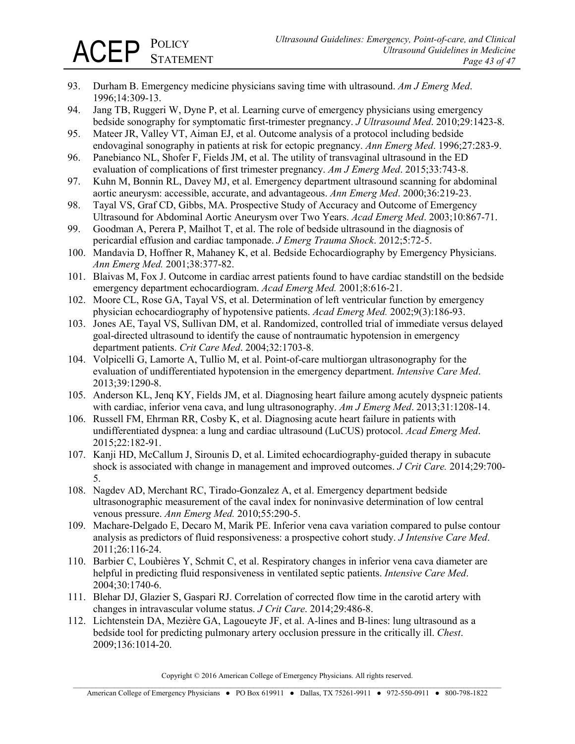- 93. Durham B. Emergency medicine physicians saving time with ultrasound. *Am J Emerg Med*. 1996;14:309-13.
- 94. Jang TB, Ruggeri W, Dyne P, et al. Learning curve of emergency physicians using emergency bedside sonography for symptomatic first-trimester pregnancy. *J Ultrasound Med*. 2010;29:1423-8.
- 95. Mateer JR, Valley VT, Aiman EJ, et al. Outcome analysis of a protocol including bedside endovaginal sonography in patients at risk for ectopic pregnancy. *Ann Emerg Med*. 1996;27:283-9.
- 96. Panebianco NL, Shofer F, Fields JM, et al. The utility of transvaginal ultrasound in the ED evaluation of complications of first trimester pregnancy. *Am J Emerg Med*. 2015;33:743-8.
- 97. Kuhn M, Bonnin RL, Davey MJ, et al. Emergency department ultrasound scanning for abdominal aortic aneurysm: accessible, accurate, and advantageous. *Ann Emerg Med*. 2000;36:219-23.
- 98. Tayal VS, Graf CD, Gibbs, MA. Prospective Study of Accuracy and Outcome of Emergency Ultrasound for Abdominal Aortic Aneurysm over Two Years. *Acad Emerg Med*. 2003;10:867-71.
- 99. Goodman A, Perera P, Mailhot T, et al. The role of bedside ultrasound in the diagnosis of pericardial effusion and cardiac tamponade. *J Emerg Trauma Shock*. 2012;5:72-5.
- 100. Mandavia D, Hoffner R, Mahaney K, et al. Bedside Echocardiography by Emergency Physicians. *Ann Emerg Med.* 2001;38:377-82.
- 101. Blaivas M, Fox J. Outcome in cardiac arrest patients found to have cardiac standstill on the bedside emergency department echocardiogram. *Acad Emerg Med.* 2001;8:616-21.
- 102. Moore CL, Rose GA, Tayal VS, et al. Determination of left ventricular function by emergency physician echocardiography of hypotensive patients. *Acad Emerg Med.* 2002;9(3):186-93.
- 103. Jones AE, Tayal VS, Sullivan DM, et al. Randomized, controlled trial of immediate versus delayed goal-directed ultrasound to identify the cause of nontraumatic hypotension in emergency department patients. *Crit Care Med*. 2004;32:1703-8.
- 104. Volpicelli G, Lamorte A, Tullio M, et al. Point-of-care multiorgan ultrasonography for the evaluation of undifferentiated hypotension in the emergency department. *Intensive Care Med*. 2013;39:1290-8.
- 105. Anderson KL, Jenq KY, Fields JM, et al. Diagnosing heart failure among acutely dyspneic patients with cardiac, inferior vena cava, and lung ultrasonography. *Am J Emerg Med*. 2013;31:1208-14.
- 106. Russell FM, Ehrman RR, Cosby K, et al. Diagnosing acute heart failure in patients with undifferentiated dyspnea: a lung and cardiac ultrasound (LuCUS) protocol. *Acad Emerg Med*. 2015;22:182-91.
- 107. Kanji HD, McCallum J, Sirounis D, et al. Limited echocardiography-guided therapy in subacute shock is associated with change in management and improved outcomes. *J Crit Care.* 2014;29:700- 5.
- 108. Nagdev AD, Merchant RC, Tirado-Gonzalez A, et al. Emergency department bedside ultrasonographic measurement of the caval index for noninvasive determination of low central venous pressure. *Ann Emerg Med.* 2010;55:290-5.
- 109. Machare-Delgado E, Decaro M, Marik PE. Inferior vena cava variation compared to pulse contour analysis as predictors of fluid responsiveness: a prospective cohort study. *J Intensive Care Med*. 2011;26:116-24.
- 110. Barbier C, Loubières Y, Schmit C, et al. Respiratory changes in inferior vena cava diameter are helpful in predicting fluid responsiveness in ventilated septic patients. *Intensive Care Med*. 2004;30:1740-6.
- 111. Blehar DJ, Glazier S, Gaspari RJ. Correlation of corrected flow time in the carotid artery with changes in intravascular volume status. *J Crit Care*. 2014;29:486-8.
- 112. Lichtenstein DA, Mezière GA, Lagoueyte JF, et al. A-lines and B-lines: lung ultrasound as a bedside tool for predicting pulmonary artery occlusion pressure in the critically ill. *Chest*. 2009;136:1014-20.

American College of Emergency Physicians ● PO Box 619911 ● Dallas, TX 75261-9911 ● 972-550-0911 ● 800-798-1822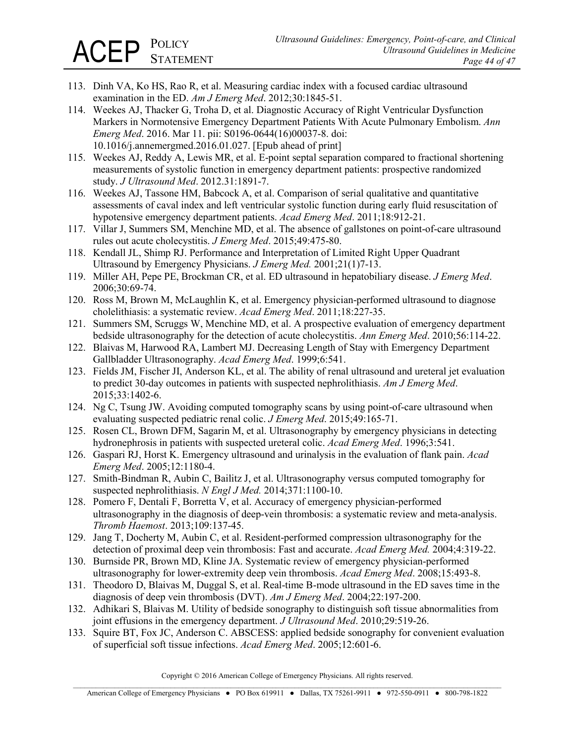- 113. Dinh VA, Ko HS, Rao R, et al. Measuring cardiac index with a focused cardiac ultrasound examination in the ED. *Am J Emerg Med*. 2012;30:1845-51.
- 114. Weekes AJ, Thacker G, Troha D, et al. Diagnostic Accuracy of Right Ventricular Dysfunction Markers in Normotensive Emergency Department Patients With Acute Pulmonary Embolism. *Ann Emerg Med*. 2016. Mar 11. pii: S0196-0644(16)00037-8. doi: 10.1016/j.annemergmed.2016.01.027. [Epub ahead of print]
- 115. Weekes AJ, Reddy A, Lewis MR, et al. E-point septal separation compared to fractional shortening measurements of systolic function in emergency department patients: prospective randomized study. *J Ultrasound Med*. 2012.31:1891-7.
- 116. Weekes AJ, Tassone HM, Babcock A, et al. Comparison of serial qualitative and quantitative assessments of caval index and left ventricular systolic function during early fluid resuscitation of hypotensive emergency department patients. *Acad Emerg Med*. 2011;18:912-21.
- 117. Villar J, Summers SM, Menchine MD, et al. The absence of gallstones on point-of-care ultrasound rules out acute cholecystitis. *J Emerg Med*. 2015;49:475-80.
- 118. Kendall JL, Shimp RJ. Performance and Interpretation of Limited Right Upper Quadrant Ultrasound by Emergency Physicians. *J Emerg Med.* 2001;21(1)7-13.
- 119. Miller AH, Pepe PE, Brockman CR, et al. ED ultrasound in hepatobiliary disease. *J Emerg Med*. 2006;30:69-74.
- 120. Ross M, Brown M, McLaughlin K, et al. Emergency physician-performed ultrasound to diagnose cholelithiasis: a systematic review. *Acad Emerg Med*. 2011;18:227-35.
- 121. Summers SM, Scruggs W, Menchine MD, et al. A prospective evaluation of emergency department bedside ultrasonography for the detection of acute cholecystitis. *Ann Emerg Med*. 2010;56:114-22.
- 122. Blaivas M, Harwood RA, Lambert MJ. Decreasing Length of Stay with Emergency Department Gallbladder Ultrasonography. *Acad Emerg Med*. 1999;6:541.
- 123. Fields JM, Fischer JI, Anderson KL, et al. The ability of renal ultrasound and ureteral jet evaluation to predict 30-day outcomes in patients with suspected nephrolithiasis. *Am J Emerg Med*. 2015;33:1402-6.
- 124. Ng C, Tsung JW. Avoiding computed tomography scans by using point-of-care ultrasound when evaluating suspected pediatric renal colic. *J Emerg Med*. 2015;49:165-71.
- 125. Rosen CL, Brown DFM, Sagarin M, et al. Ultrasonography by emergency physicians in detecting hydronephrosis in patients with suspected ureteral colic. *Acad Emerg Med*. 1996;3:541.
- 126. Gaspari RJ, Horst K. Emergency ultrasound and urinalysis in the evaluation of flank pain. *Acad Emerg Med*. 2005;12:1180-4.
- 127. Smith-Bindman R, Aubin C, Bailitz J, et al. Ultrasonography versus computed tomography for suspected nephrolithiasis. *N Engl J Med.* 2014;371:1100-10.
- 128. Pomero F, Dentali F, Borretta V, et al. Accuracy of emergency physician-performed ultrasonography in the diagnosis of deep-vein thrombosis: a systematic review and meta-analysis. *Thromb Haemost*. 2013;109:137-45.
- 129. Jang T, Docherty M, Aubin C, et al. Resident-performed compression ultrasonography for the detection of proximal deep vein thrombosis: Fast and accurate. *Acad Emerg Med.* 2004;4:319-22.
- 130. Burnside PR, Brown MD, Kline JA. Systematic review of emergency physician-performed ultrasonography for lower-extremity deep vein thrombosis. *Acad Emerg Med*. 2008;15:493-8.
- 131. Theodoro D, Blaivas M, Duggal S, et al. Real-time B-mode ultrasound in the ED saves time in the diagnosis of deep vein thrombosis (DVT). *Am J Emerg Med*. 2004;22:197-200.
- 132. Adhikari S, Blaivas M. Utility of bedside sonography to distinguish soft tissue abnormalities from joint effusions in the emergency department. *J Ultrasound Med*. 2010;29:519-26.
- 133. Squire BT, Fox JC, Anderson C. ABSCESS: applied bedside sonography for convenient evaluation of superficial soft tissue infections. *Acad Emerg Med*. 2005;12:601-6.

American College of Emergency Physicians ● PO Box 619911 ● Dallas, TX 75261-9911 ● 972-550-0911 ● 800-798-1822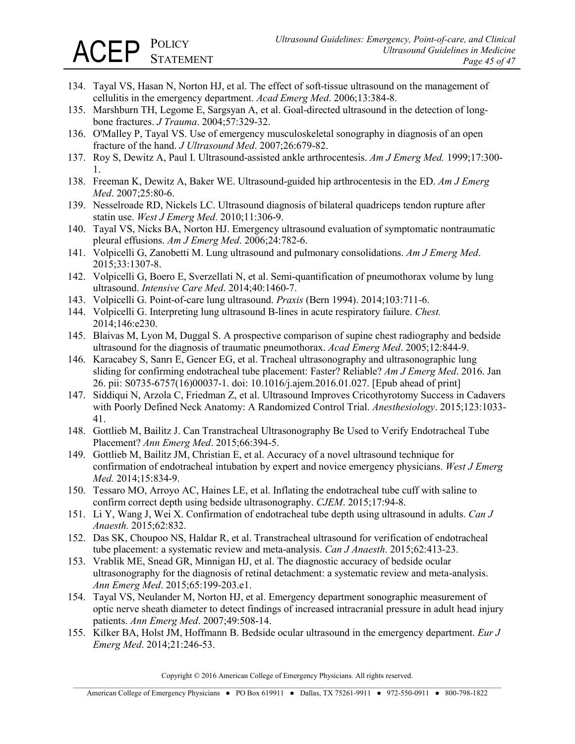- 134. Tayal VS, Hasan N, Norton HJ, et al. The effect of soft-tissue ultrasound on the management of cellulitis in the emergency department. *Acad Emerg Med*. 2006;13:384-8.
- 135. Marshburn TH, Legome E, Sargsyan A, et al. Goal-directed ultrasound in the detection of longbone fractures. *J Trauma*. 2004;57:329-32.
- 136. O'Malley P, Tayal VS. Use of emergency musculoskeletal sonography in diagnosis of an open fracture of the hand. *J Ultrasound Med*. 2007;26:679-82.
- 137. Roy S, Dewitz A, Paul I. Ultrasound-assisted ankle arthrocentesis. *Am J Emerg Med.* 1999;17:300- 1.
- 138. Freeman K, Dewitz A, Baker WE. Ultrasound-guided hip arthrocentesis in the ED. *Am J Emerg Med*. 2007;25:80-6.
- 139. Nesselroade RD, Nickels LC. Ultrasound diagnosis of bilateral quadriceps tendon rupture after statin use. *West J Emerg Med*. 2010;11:306-9.
- 140. Tayal VS, Nicks BA, Norton HJ. Emergency ultrasound evaluation of symptomatic nontraumatic pleural effusions. *Am J Emerg Med*. 2006;24:782-6.
- 141. Volpicelli G, Zanobetti M. Lung ultrasound and pulmonary consolidations. *Am J Emerg Med*. 2015;33:1307-8.
- 142. Volpicelli G, Boero E, Sverzellati N, et al. Semi-quantification of pneumothorax volume by lung ultrasound. *Intensive Care Med*. 2014;40:1460-7.
- 143. Volpicelli G. Point-of-care lung ultrasound. *Praxis* (Bern 1994). 2014;103:711-6.
- 144. Volpicelli G. Interpreting lung ultrasound B-lines in acute respiratory failure. *Chest.* 2014;146:e230.
- 145. Blaivas M, Lyon M, Duggal S. A prospective comparison of supine chest radiography and bedside ultrasound for the diagnosis of traumatic pneumothorax. *Acad Emerg Med*. 2005;12:844-9.
- 146. Karacabey S, Sanrı E, Gencer EG, et al. Tracheal ultrasonography and ultrasonographic lung sliding for confirming endotracheal tube placement: Faster? Reliable? *Am J Emerg Med*. 2016. Jan 26. pii: S0735-6757(16)00037-1. doi: 10.1016/j.ajem.2016.01.027. [Epub ahead of print]
- 147. Siddiqui N, Arzola C, Friedman Z, et al. Ultrasound Improves Cricothyrotomy Success in Cadavers with Poorly Defined Neck Anatomy: A Randomized Control Trial. *Anesthesiology*. 2015;123:1033- 41.
- 148. Gottlieb M, Bailitz J. Can Transtracheal Ultrasonography Be Used to Verify Endotracheal Tube Placement? *Ann Emerg Med*. 2015;66:394-5.
- 149. Gottlieb M, Bailitz JM, Christian E, et al. Accuracy of a novel ultrasound technique for confirmation of endotracheal intubation by expert and novice emergency physicians. *West J Emerg Med.* 2014;15:834-9.
- 150. Tessaro MO, Arroyo AC, Haines LE, et al. Inflating the endotracheal tube cuff with saline to confirm correct depth using bedside ultrasonography. *CJEM*. 2015;17:94-8.
- 151. Li Y, Wang J, Wei X. Confirmation of endotracheal tube depth using ultrasound in adults. *Can J Anaesth.* 2015;62:832.
- 152. Das SK, Choupoo NS, Haldar R, et al. Transtracheal ultrasound for verification of endotracheal tube placement: a systematic review and meta-analysis. *Can J Anaesth*. 2015;62:413-23.
- 153. Vrablik ME, Snead GR, Minnigan HJ, et al. The diagnostic accuracy of bedside ocular ultrasonography for the diagnosis of retinal detachment: a systematic review and meta-analysis. *Ann Emerg Med*. 2015;65:199-203.e1.
- 154. Tayal VS, Neulander M, Norton HJ, et al. Emergency department sonographic measurement of optic nerve sheath diameter to detect findings of increased intracranial pressure in adult head injury patients. *Ann Emerg Med*. 2007;49:508-14.
- 155. Kilker BA, Holst JM, Hoffmann B. Bedside ocular ultrasound in the emergency department. *Eur J Emerg Med*. 2014;21:246-53.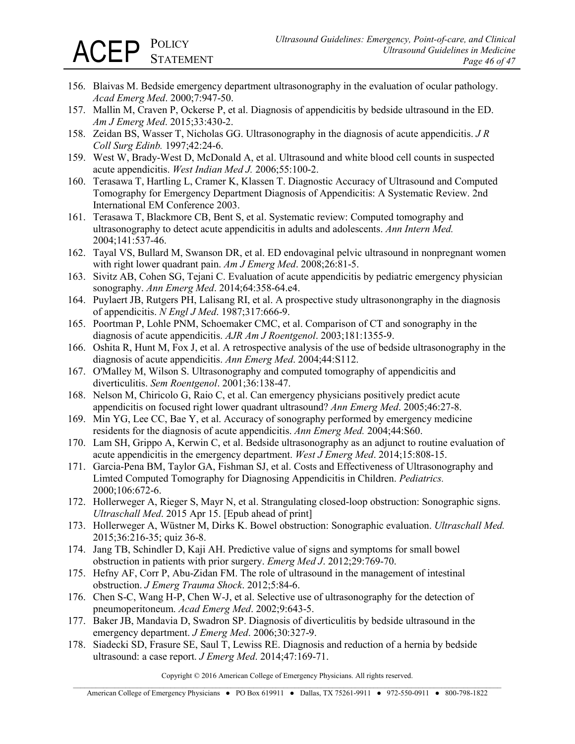- 156. Blaivas M. Bedside emergency department ultrasonography in the evaluation of ocular pathology. *Acad Emerg Med*. 2000;7:947-50.
- 157. Mallin M, Craven P, Ockerse P, et al. Diagnosis of appendicitis by bedside ultrasound in the ED. *Am J Emerg Med*. 2015;33:430-2.
- 158. Zeidan BS, Wasser T, Nicholas GG. Ultrasonography in the diagnosis of acute appendicitis. *J R Coll Surg Edinb.* 1997;42:24-6.
- 159. West W, Brady-West D, McDonald A, et al. Ultrasound and white blood cell counts in suspected acute appendicitis. *West Indian Med J.* 2006;55:100-2.
- 160. Terasawa T, Hartling L, Cramer K, Klassen T. Diagnostic Accuracy of Ultrasound and Computed Tomography for Emergency Department Diagnosis of Appendicitis: A Systematic Review. 2nd International EM Conference 2003.
- 161. Terasawa T, Blackmore CB, Bent S, et al. Systematic review: Computed tomography and ultrasonography to detect acute appendicitis in adults and adolescents. *Ann Intern Med.* 2004;141:537-46.
- 162. Tayal VS, Bullard M, Swanson DR, et al. ED endovaginal pelvic ultrasound in nonpregnant women with right lower quadrant pain. *Am J Emerg Med*. 2008;26:81-5.
- 163. Sivitz AB, Cohen SG, Tejani C. Evaluation of acute appendicitis by pediatric emergency physician sonography. *Ann Emerg Med*. 2014;64:358-64.e4.
- 164. Puylaert JB, Rutgers PH, Lalisang RI, et al. A prospective study ultrasonongraphy in the diagnosis of appendicitis. *N Engl J Med*. 1987;317:666-9.
- 165. Poortman P, Lohle PNM, Schoemaker CMC, et al. Comparison of CT and sonography in the diagnosis of acute appendicitis. *AJR Am J Roentgenol*. 2003;181:1355-9.
- 166. Oshita R, Hunt M, Fox J, et al. A retrospective analysis of the use of bedside ultrasonography in the diagnosis of acute appendicitis. *Ann Emerg Med*. 2004;44:S112.
- 167. O'Malley M, Wilson S. Ultrasonography and computed tomography of appendicitis and diverticulitis. *Sem Roentgenol*. 2001;36:138-47.
- 168. Nelson M, Chiricolo G, Raio C, et al. Can emergency physicians positively predict acute appendicitis on focused right lower quadrant ultrasound? *Ann Emerg Med*. 2005;46:27-8.
- 169. Min YG, Lee CC, Bae Y, et al. Accuracy of sonography performed by emergency medicine residents for the diagnosis of acute appendicitis. *Ann Emerg Med.* 2004;44:S60.
- 170. Lam SH, Grippo A, Kerwin C, et al. Bedside ultrasonography as an adjunct to routine evaluation of acute appendicitis in the emergency department. *West J Emerg Med*. 2014;15:808-15.
- 171. Garcia-Pena BM, Taylor GA, Fishman SJ, et al. Costs and Effectiveness of Ultrasonography and Limted Computed Tomography for Diagnosing Appendicitis in Children. *Pediatrics.* 2000;106:672-6.
- 172. Hollerweger A, Rieger S, Mayr N, et al. Strangulating closed-loop obstruction: Sonographic signs. *Ultraschall Med*. 2015 Apr 15. [Epub ahead of print]
- 173. Hollerweger A, Wüstner M, Dirks K. Bowel obstruction: Sonographic evaluation. *Ultraschall Med.* 2015;36:216-35; quiz 36-8.
- 174. Jang TB, Schindler D, Kaji AH. Predictive value of signs and symptoms for small bowel obstruction in patients with prior surgery. *Emerg Med J*. 2012;29:769-70.
- 175. Hefny AF, Corr P, Abu-Zidan FM. The role of ultrasound in the management of intestinal obstruction. *J Emerg Trauma Shock*. 2012;5:84-6.
- 176. Chen S-C, Wang H-P, Chen W-J, et al. Selective use of ultrasonography for the detection of pneumoperitoneum. *Acad Emerg Med*. 2002;9:643-5.
- 177. Baker JB, Mandavia D, Swadron SP. Diagnosis of diverticulitis by bedside ultrasound in the emergency department. *J Emerg Med*. 2006;30:327-9.
- 178. Siadecki SD, Frasure SE, Saul T, Lewiss RE. Diagnosis and reduction of a hernia by bedside ultrasound: a case report. *J Emerg Med*. 2014;47:169-71.